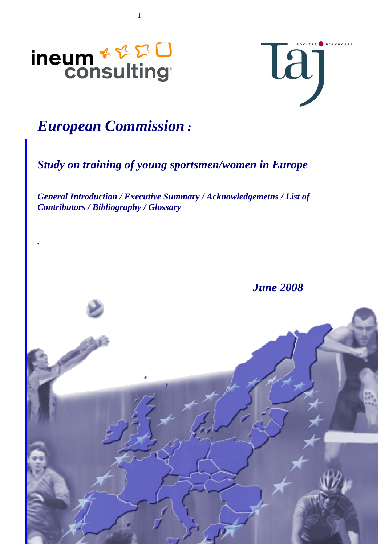<span id="page-0-0"></span>

*.*



# *European Commission :*

I

*Study on training of young sportsmen/women in Europe* 

*General Introduction / Executive Summary / Acknowledgemetns / List of Contributors / Bibliography / Glossary*

*June 2008* 

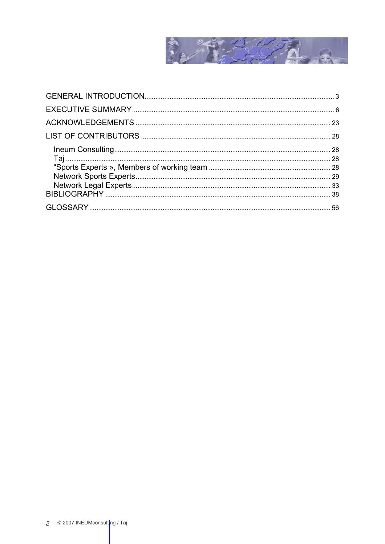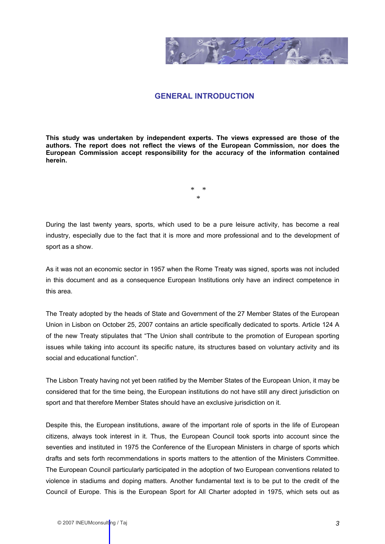

# **GENERAL INTRODUCTION**

<span id="page-2-0"></span>**This study was undertaken by independent experts. The views expressed are those of the authors. The report does not reflect the views of the European Commission, nor does the European Commission accept responsibility for the accuracy of the information contained herein.**

> \* \* \*

During the last twenty years, sports, which used to be a pure leisure activity, has become a real industry, especially due to the fact that it is more and more professional and to the development of sport as a show.

As it was not an economic sector in 1957 when the Rome Treaty was signed, sports was not included in this document and as a consequence European Institutions only have an indirect competence in this area.

The Treaty adopted by the heads of State and Government of the 27 Member States of the European Union in Lisbon on October 25, 2007 contains an article specifically dedicated to sports. Article 124 A of the new Treaty stipulates that "The Union shall contribute to the promotion of European sporting issues while taking into account its specific nature, its structures based on voluntary activity and its social and educational function".

The Lisbon Treaty having not yet been ratified by the Member States of the European Union, it may be considered that for the time being, the European institutions do not have still any direct jurisdiction on sport and that therefore Member States should have an exclusive jurisdiction on it.

Despite this, the European institutions, aware of the important role of sports in the life of European citizens, always took interest in it. Thus, the European Council took sports into account since the seventies and instituted in 1975 the Conference of the European Ministers in charge of sports which drafts and sets forth recommendations in sports matters to the attention of the Ministers Committee. The European Council particularly participated in the adoption of two European conventions related to violence in stadiums and doping matters. Another fundamental text is to be put to the credit of the Council of Europe. This is the European Sport for All Charter adopted in 1975, which sets out as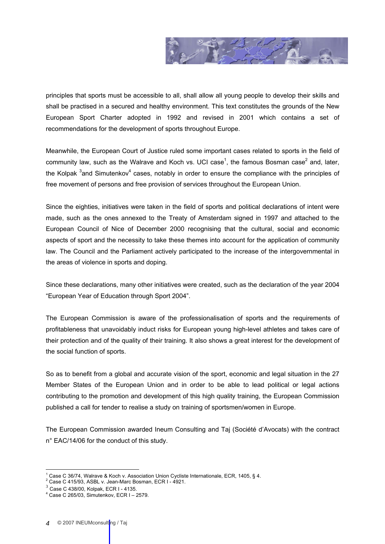

principles that sports must be accessible to all, shall allow all young people to develop their skills and shall be practised in a secured and healthy environment. This text constitutes the grounds of the New European Sport Charter adopted in 1992 and revised in 2001 which contains a set of recommendations for the development of sports throughout Europe.

Meanwhile, the European Court of Justice ruled some important cases related to sports in the field of community law, such as the Walrave and Koch vs. UCI case<sup>1</sup>, the famous Bosman case<sup>2</sup> and, later, the Kolpak <sup>3</sup>and Simutenkov<sup>4</sup> cases, notably in order to ensure the compliance with the principles of free movement of persons and free provision of services throughout the European Union.

Since the eighties, initiatives were taken in the field of sports and political declarations of intent were made, such as the ones annexed to the Treaty of Amsterdam signed in 1997 and attached to the European Council of Nice of December 2000 recognising that the cultural, social and economic aspects of sport and the necessity to take these themes into account for the application of community law. The Council and the Parliament actively participated to the increase of the intergovernmental in the areas of violence in sports and doping.

Since these declarations, many other initiatives were created, such as the declaration of the year 2004 "European Year of Education through Sport 2004".

The European Commission is aware of the professionalisation of sports and the requirements of profitableness that unavoidably induct risks for European young high-level athletes and takes care of their protection and of the quality of their training. It also shows a great interest for the development of the social function of sports.

So as to benefit from a global and accurate vision of the sport, economic and legal situation in the 27 Member States of the European Union and in order to be able to lead political or legal actions contributing to the promotion and development of this high quality training, the European Commission published a call for tender to realise a study on training of sportsmen/women in Europe.

The European Commission awarded Ineum Consulting and Taj (Société d'Avocats) with the contract n° EAC/14/06 for the conduct of this study.

 $\overline{a}$ 1 Case C 36/74, Walrave & Koch v. Association Union Cycliste Internationale, ECR, 1405, § 4.

<sup>&</sup>lt;sup>2</sup> Case C 415/93, ASBL v. Jean-Marc Bosman, ECR I - 4921.

 $3$  Case C 438/00, Kolpak, ECR I - 4135.

 $4$  Case C 265/03, Simutenkov, ECR I - 2579.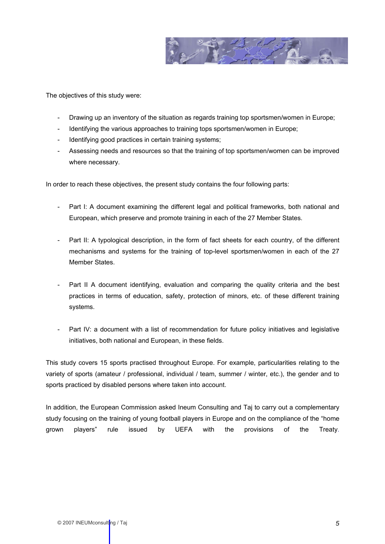

The objectives of this study were:

- Drawing up an inventory of the situation as regards training top sportsmen/women in Europe;
- Identifying the various approaches to training tops sportsmen/women in Europe;
- Identifying good practices in certain training systems:
- Assessing needs and resources so that the training of top sportsmen/women can be improved where necessary.

In order to reach these objectives, the present study contains the four following parts:

- Part I: A document examining the different legal and political frameworks, both national and European, which preserve and promote training in each of the 27 Member States.
- Part II: A typological description, in the form of fact sheets for each country, of the different mechanisms and systems for the training of top-level sportsmen/women in each of the 27 Member States.
- Part II A document identifying, evaluation and comparing the quality criteria and the best practices in terms of education, safety, protection of minors, etc. of these different training systems.
- Part IV: a document with a list of recommendation for future policy initiatives and legislative initiatives, both national and European, in these fields.

This study covers 15 sports practised throughout Europe. For example, particularities relating to the variety of sports (amateur / professional, individual / team, summer / winter, etc.), the gender and to sports practiced by disabled persons where taken into account.

In addition, the European Commission asked Ineum Consulting and Taj to carry out a complementary study focusing on the training of young football players in Europe and on the compliance of the "home grown players" rule issued by UEFA with the provisions of the Treaty.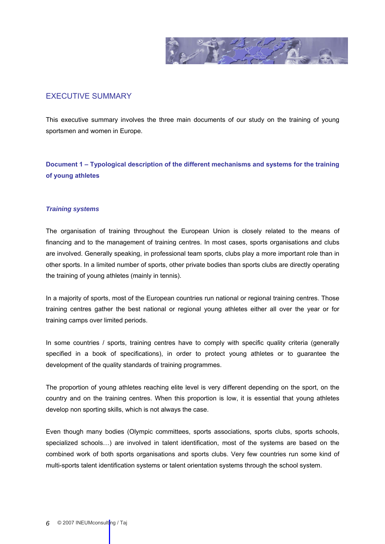

# <span id="page-5-0"></span>EXECUTIVE SUMMARY

This executive summary involves the three main documents of our study on the training of young sportsmen and women in Europe.

**Document 1 – Typological description of the different mechanisms and systems for the training of young athletes** 

# *Training systems*

The organisation of training throughout the European Union is closely related to the means of financing and to the management of training centres. In most cases, sports organisations and clubs are involved. Generally speaking, in professional team sports, clubs play a more important role than in other sports. In a limited number of sports, other private bodies than sports clubs are directly operating the training of young athletes (mainly in tennis).

In a majority of sports, most of the European countries run national or regional training centres. Those training centres gather the best national or regional young athletes either all over the year or for training camps over limited periods.

In some countries / sports, training centres have to comply with specific quality criteria (generally specified in a book of specifications), in order to protect young athletes or to guarantee the development of the quality standards of training programmes.

The proportion of young athletes reaching elite level is very different depending on the sport, on the country and on the training centres. When this proportion is low, it is essential that young athletes develop non sporting skills, which is not always the case.

Even though many bodies (Olympic committees, sports associations, sports clubs, sports schools, specialized schools…) are involved in talent identification, most of the systems are based on the combined work of both sports organisations and sports clubs. Very few countries run some kind of multi-sports talent identification systems or talent orientation systems through the school system.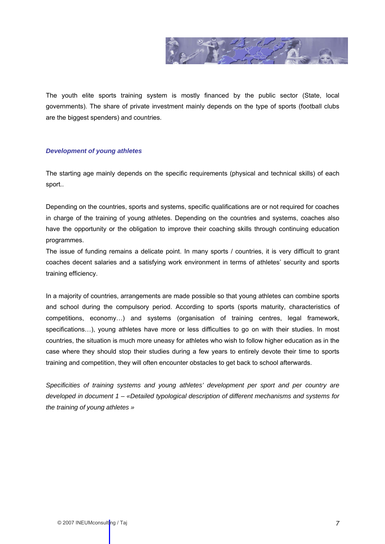

The youth elite sports training system is mostly financed by the public sector (State, local governments). The share of private investment mainly depends on the type of sports (football clubs are the biggest spenders) and countries.

# *Development of young athletes*

The starting age mainly depends on the specific requirements (physical and technical skills) of each sport..

Depending on the countries, sports and systems, specific qualifications are or not required for coaches in charge of the training of young athletes. Depending on the countries and systems, coaches also have the opportunity or the obligation to improve their coaching skills through continuing education programmes.

The issue of funding remains a delicate point. In many sports / countries, it is very difficult to grant coaches decent salaries and a satisfying work environment in terms of athletes' security and sports training efficiency.

In a majority of countries, arrangements are made possible so that young athletes can combine sports and school during the compulsory period. According to sports (sports maturity, characteristics of competitions, economy…) and systems (organisation of training centres, legal framework, specifications...), young athletes have more or less difficulties to go on with their studies. In most countries, the situation is much more uneasy for athletes who wish to follow higher education as in the case where they should stop their studies during a few years to entirely devote their time to sports training and competition, they will often encounter obstacles to get back to school afterwards.

*Specificities of training systems and young athletes' development per sport and per country are developed in document 1 – «Detailed typological description of different mechanisms and systems for the training of young athletes »*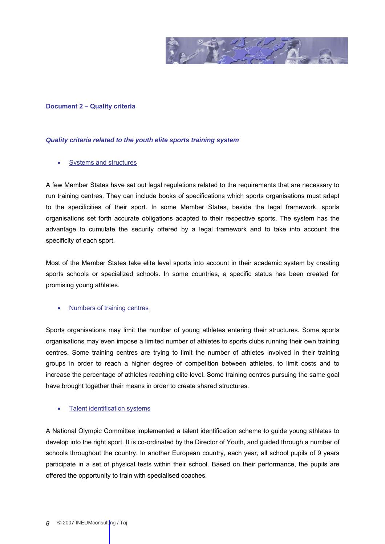

# **Document 2 – Quality criteria**

### *Quality criteria related to the youth elite sports training system*

# **Systems and structures**

A few Member States have set out legal regulations related to the requirements that are necessary to run training centres. They can include books of specifications which sports organisations must adapt to the specificities of their sport. In some Member States, beside the legal framework, sports organisations set forth accurate obligations adapted to their respective sports. The system has the advantage to cumulate the security offered by a legal framework and to take into account the specificity of each sport.

Most of the Member States take elite level sports into account in their academic system by creating sports schools or specialized schools. In some countries, a specific status has been created for promising young athletes.

# • Numbers of training centres

Sports organisations may limit the number of young athletes entering their structures. Some sports organisations may even impose a limited number of athletes to sports clubs running their own training centres. Some training centres are trying to limit the number of athletes involved in their training groups in order to reach a higher degree of competition between athletes, to limit costs and to increase the percentage of athletes reaching elite level. Some training centres pursuing the same goal have brought together their means in order to create shared structures.

# Talent identification systems

A National Olympic Committee implemented a talent identification scheme to guide young athletes to develop into the right sport. It is co-ordinated by the Director of Youth, and guided through a number of schools throughout the country. In another European country, each year, all school pupils of 9 years participate in a set of physical tests within their school. Based on their performance, the pupils are offered the opportunity to train with specialised coaches.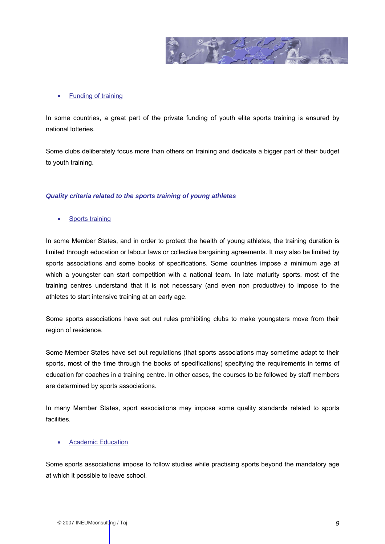

#### • Funding of training

In some countries, a great part of the private funding of youth elite sports training is ensured by national lotteries.

Some clubs deliberately focus more than others on training and dedicate a bigger part of their budget to youth training.

### *Quality criteria related to the sports training of young athletes*

Sports training

In some Member States, and in order to protect the health of young athletes, the training duration is limited through education or labour laws or collective bargaining agreements. It may also be limited by sports associations and some books of specifications. Some countries impose a minimum age at which a youngster can start competition with a national team. In late maturity sports, most of the training centres understand that it is not necessary (and even non productive) to impose to the athletes to start intensive training at an early age.

Some sports associations have set out rules prohibiting clubs to make youngsters move from their region of residence.

Some Member States have set out regulations (that sports associations may sometime adapt to their sports, most of the time through the books of specifications) specifying the requirements in terms of education for coaches in a training centre. In other cases, the courses to be followed by staff members are determined by sports associations.

In many Member States, sport associations may impose some quality standards related to sports facilities.

# • Academic Education

Some sports associations impose to follow studies while practising sports beyond the mandatory age at which it possible to leave school.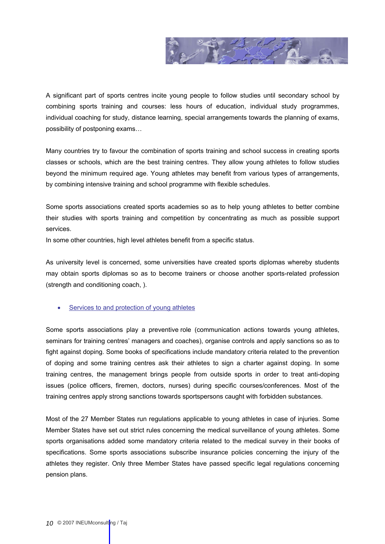

A significant part of sports centres incite young people to follow studies until secondary school by combining sports training and courses: less hours of education, individual study programmes, individual coaching for study, distance learning, special arrangements towards the planning of exams, possibility of postponing exams…

Many countries try to favour the combination of sports training and school success in creating sports classes or schools, which are the best training centres. They allow young athletes to follow studies beyond the minimum required age. Young athletes may benefit from various types of arrangements, by combining intensive training and school programme with flexible schedules.

Some sports associations created sports academies so as to help young athletes to better combine their studies with sports training and competition by concentrating as much as possible support services.

In some other countries, high level athletes benefit from a specific status.

As university level is concerned, some universities have created sports diplomas whereby students may obtain sports diplomas so as to become trainers or choose another sports-related profession (strength and conditioning coach, ).

# Services to and protection of young athletes

Some sports associations play a preventive role (communication actions towards young athletes, seminars for training centres' managers and coaches), organise controls and apply sanctions so as to fight against doping. Some books of specifications include mandatory criteria related to the prevention of doping and some training centres ask their athletes to sign a charter against doping. In some training centres, the management brings people from outside sports in order to treat anti-doping issues (police officers, firemen, doctors, nurses) during specific courses/conferences. Most of the training centres apply strong sanctions towards sportspersons caught with forbidden substances.

Most of the 27 Member States run regulations applicable to young athletes in case of injuries. Some Member States have set out strict rules concerning the medical surveillance of young athletes. Some sports organisations added some mandatory criteria related to the medical survey in their books of specifications. Some sports associations subscribe insurance policies concerning the injury of the athletes they register. Only three Member States have passed specific legal regulations concerning pension plans.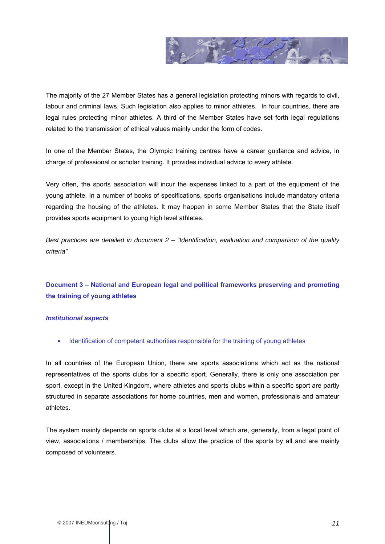

The majority of the 27 Member States has a general legislation protecting minors with regards to civil, labour and criminal laws. Such legislation also applies to minor athletes. In four countries, there are legal rules protecting minor athletes. A third of the Member States have set forth legal regulations related to the transmission of ethical values mainly under the form of codes.

In one of the Member States, the Olympic training centres have a career guidance and advice, in charge of professional or scholar training. It provides individual advice to every athlete.

Very often, the sports association will incur the expenses linked to a part of the equipment of the young athlete. In a number of books of specifications, sports organisations include mandatory criteria regarding the housing of the athletes. It may happen in some Member States that the State itself provides sports equipment to young high level athletes.

*Best practices are detailed in document 2 – "Identification, evaluation and comparison of the quality criteria"* 

# **Document 3 – National and European legal and political frameworks preserving and promoting the training of young athletes**

# *Institutional aspects*

• Identification of competent authorities responsible for the training of young athletes

In all countries of the European Union, there are sports associations which act as the national representatives of the sports clubs for a specific sport. Generally, there is only one association per sport, except in the United Kingdom, where athletes and sports clubs within a specific sport are partly structured in separate associations for home countries, men and women, professionals and amateur athletes.

The system mainly depends on sports clubs at a local level which are, generally, from a legal point of view, associations / memberships. The clubs allow the practice of the sports by all and are mainly composed of volunteers.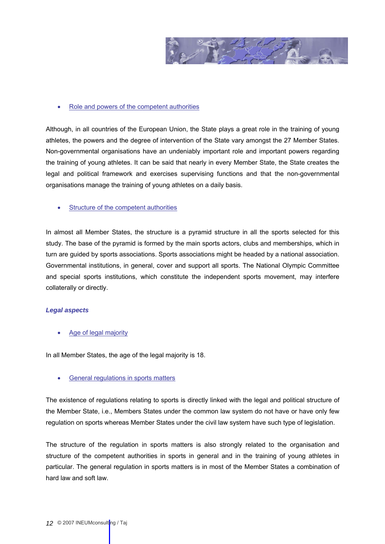

# • Role and powers of the competent authorities

Although, in all countries of the European Union, the State plays a great role in the training of young athletes, the powers and the degree of intervention of the State vary amongst the 27 Member States. Non-governmental organisations have an undeniably important role and important powers regarding the training of young athletes. It can be said that nearly in every Member State, the State creates the legal and political framework and exercises supervising functions and that the non-governmental organisations manage the training of young athletes on a daily basis.

• Structure of the competent authorities

In almost all Member States, the structure is a pyramid structure in all the sports selected for this study. The base of the pyramid is formed by the main sports actors, clubs and memberships, which in turn are guided by sports associations. Sports associations might be headed by a national association. Governmental institutions, in general, cover and support all sports. The National Olympic Committee and special sports institutions, which constitute the independent sports movement, may interfere collaterally or directly.

# *Legal aspects*

Age of legal majority

In all Member States, the age of the legal majority is 18.

General regulations in sports matters

The existence of regulations relating to sports is directly linked with the legal and political structure of the Member State, i.e., Members States under the common law system do not have or have only few regulation on sports whereas Member States under the civil law system have such type of legislation.

The structure of the regulation in sports matters is also strongly related to the organisation and structure of the competent authorities in sports in general and in the training of young athletes in particular. The general regulation in sports matters is in most of the Member States a combination of hard law and soft law.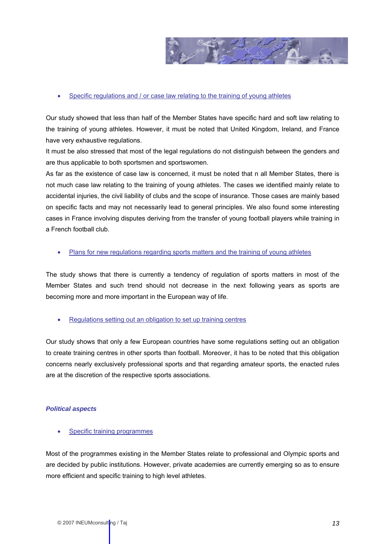

# • Specific regulations and / or case law relating to the training of young athletes

Our study showed that less than half of the Member States have specific hard and soft law relating to the training of young athletes. However, it must be noted that United Kingdom, Ireland, and France have very exhaustive regulations.

It must be also stressed that most of the legal regulations do not distinguish between the genders and are thus applicable to both sportsmen and sportswomen.

As far as the existence of case law is concerned, it must be noted that n all Member States, there is not much case law relating to the training of young athletes. The cases we identified mainly relate to accidental injuries, the civil liability of clubs and the scope of insurance. Those cases are mainly based on specific facts and may not necessarily lead to general principles. We also found some interesting cases in France involving disputes deriving from the transfer of young football players while training in a French football club.

• Plans for new regulations regarding sports matters and the training of young athletes

The study shows that there is currently a tendency of regulation of sports matters in most of the Member States and such trend should not decrease in the next following years as sports are becoming more and more important in the European way of life.

• Regulations setting out an obligation to set up training centres

Our study shows that only a few European countries have some regulations setting out an obligation to create training centres in other sports than football. Moreover, it has to be noted that this obligation concerns nearly exclusively professional sports and that regarding amateur sports, the enacted rules are at the discretion of the respective sports associations.

#### *Political aspects*

Specific training programmes

Most of the programmes existing in the Member States relate to professional and Olympic sports and are decided by public institutions. However, private academies are currently emerging so as to ensure more efficient and specific training to high level athletes.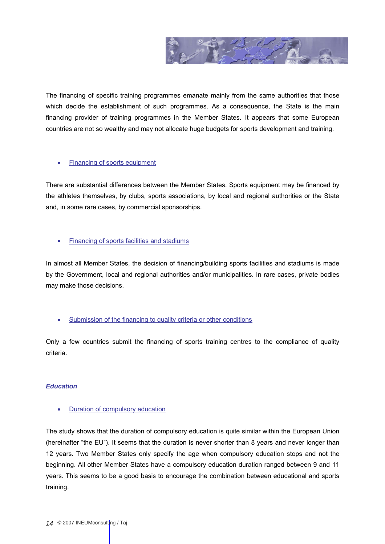

The financing of specific training programmes emanate mainly from the same authorities that those which decide the establishment of such programmes. As a consequence, the State is the main financing provider of training programmes in the Member States. It appears that some European countries are not so wealthy and may not allocate huge budgets for sports development and training.

# **Financing of sports equipment**

There are substantial differences between the Member States. Sports equipment may be financed by the athletes themselves, by clubs, sports associations, by local and regional authorities or the State and, in some rare cases, by commercial sponsorships.

# • Financing of sports facilities and stadiums

In almost all Member States, the decision of financing/building sports facilities and stadiums is made by the Government, local and regional authorities and/or municipalities. In rare cases, private bodies may make those decisions.

# • Submission of the financing to quality criteria or other conditions

Only a few countries submit the financing of sports training centres to the compliance of quality criteria.

# *Education*

**Duration of compulsory education** 

The study shows that the duration of compulsory education is quite similar within the European Union (hereinafter "the EU"). It seems that the duration is never shorter than 8 years and never longer than 12 years. Two Member States only specify the age when compulsory education stops and not the beginning. All other Member States have a compulsory education duration ranged between 9 and 11 years. This seems to be a good basis to encourage the combination between educational and sports training.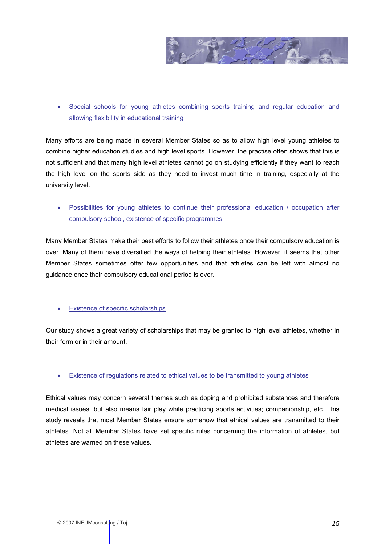

• Special schools for young athletes combining sports training and regular education and allowing flexibility in educational training

Many efforts are being made in several Member States so as to allow high level young athletes to combine higher education studies and high level sports. However, the practise often shows that this is not sufficient and that many high level athletes cannot go on studying efficiently if they want to reach the high level on the sports side as they need to invest much time in training, especially at the university level.

• Possibilities for young athletes to continue their professional education / occupation after compulsory school, existence of specific programmes

Many Member States make their best efforts to follow their athletes once their compulsory education is over. Many of them have diversified the ways of helping their athletes. However, it seems that other Member States sometimes offer few opportunities and that athletes can be left with almost no guidance once their compulsory educational period is over.

# • Existence of specific scholarships

Our study shows a great variety of scholarships that may be granted to high level athletes, whether in their form or in their amount.

# • Existence of regulations related to ethical values to be transmitted to young athletes

Ethical values may concern several themes such as doping and prohibited substances and therefore medical issues, but also means fair play while practicing sports activities; companionship, etc. This study reveals that most Member States ensure somehow that ethical values are transmitted to their athletes. Not all Member States have set specific rules concerning the information of athletes, but athletes are warned on these values.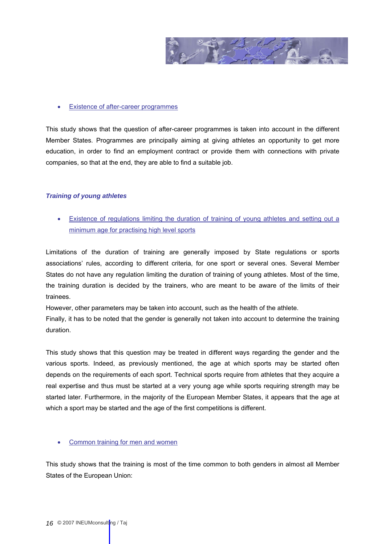

# • Existence of after-career programmes

This study shows that the question of after-career programmes is taken into account in the different Member States. Programmes are principally aiming at giving athletes an opportunity to get more education, in order to find an employment contract or provide them with connections with private companies, so that at the end, they are able to find a suitable job.

### *Training of young athletes*

• Existence of regulations limiting the duration of training of young athletes and setting out a minimum age for practising high level sports

Limitations of the duration of training are generally imposed by State regulations or sports associations' rules, according to different criteria, for one sport or several ones. Several Member States do not have any regulation limiting the duration of training of young athletes. Most of the time, the training duration is decided by the trainers, who are meant to be aware of the limits of their trainees.

However, other parameters may be taken into account, such as the health of the athlete.

Finally, it has to be noted that the gender is generally not taken into account to determine the training duration.

This study shows that this question may be treated in different ways regarding the gender and the various sports. Indeed, as previously mentioned, the age at which sports may be started often depends on the requirements of each sport. Technical sports require from athletes that they acquire a real expertise and thus must be started at a very young age while sports requiring strength may be started later. Furthermore, in the majority of the European Member States, it appears that the age at which a sport may be started and the age of the first competitions is different.

# • Common training for men and women

This study shows that the training is most of the time common to both genders in almost all Member States of the European Union: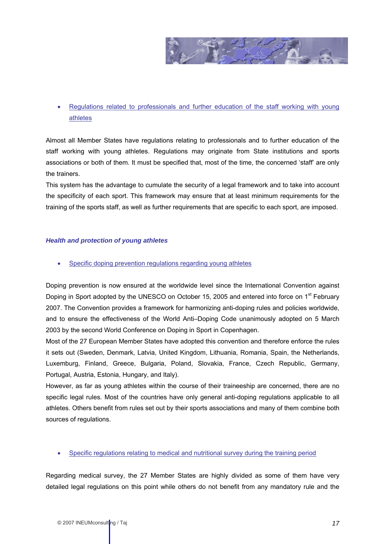

# • Regulations related to professionals and further education of the staff working with young athletes

Almost all Member States have regulations relating to professionals and to further education of the staff working with young athletes. Regulations may originate from State institutions and sports associations or both of them. It must be specified that, most of the time, the concerned 'staff' are only the trainers.

This system has the advantage to cumulate the security of a legal framework and to take into account the specificity of each sport. This framework may ensure that at least minimum requirements for the training of the sports staff, as well as further requirements that are specific to each sport, are imposed.

# *Health and protection of young athletes*

Specific doping prevention regulations regarding young athletes

Doping prevention is now ensured at the worldwide level since the International Convention against Doping in Sport adopted by the UNESCO on October 15, 2005 and entered into force on 1<sup>st</sup> February 2007. The Convention provides a framework for harmonizing anti-doping rules and policies worldwide, and to ensure the effectiveness of the World Anti–Doping Code unanimously adopted on 5 March 2003 by the second World Conference on Doping in Sport in Copenhagen.

Most of the 27 European Member States have adopted this convention and therefore enforce the rules it sets out (Sweden, Denmark, Latvia, United Kingdom, Lithuania, Romania, Spain, the Netherlands, Luxemburg, Finland, Greece, Bulgaria, Poland, Slovakia, France, Czech Republic, Germany, Portugal, Austria, Estonia, Hungary, and Italy).

However, as far as young athletes within the course of their traineeship are concerned, there are no specific legal rules. Most of the countries have only general anti-doping regulations applicable to all athletes. Others benefit from rules set out by their sports associations and many of them combine both sources of regulations.

# • Specific regulations relating to medical and nutritional survey during the training period

Regarding medical survey, the 27 Member States are highly divided as some of them have very detailed legal regulations on this point while others do not benefit from any mandatory rule and the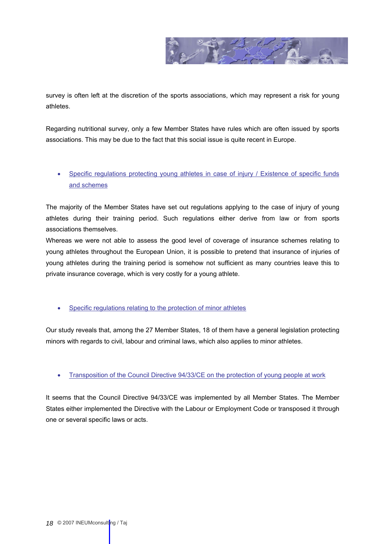

survey is often left at the discretion of the sports associations, which may represent a risk for young athletes.

Regarding nutritional survey, only a few Member States have rules which are often issued by sports associations. This may be due to the fact that this social issue is quite recent in Europe.

# • Specific regulations protecting young athletes in case of injury / Existence of specific funds and schemes

The majority of the Member States have set out regulations applying to the case of injury of young athletes during their training period. Such regulations either derive from law or from sports associations themselves.

Whereas we were not able to assess the good level of coverage of insurance schemes relating to young athletes throughout the European Union, it is possible to pretend that insurance of injuries of young athletes during the training period is somehow not sufficient as many countries leave this to private insurance coverage, which is very costly for a young athlete.

• Specific regulations relating to the protection of minor athletes

Our study reveals that, among the 27 Member States, 18 of them have a general legislation protecting minors with regards to civil, labour and criminal laws, which also applies to minor athletes.

# • Transposition of the Council Directive 94/33/CE on the protection of young people at work

It seems that the Council Directive 94/33/CE was implemented by all Member States. The Member States either implemented the Directive with the Labour or Employment Code or transposed it through one or several specific laws or acts.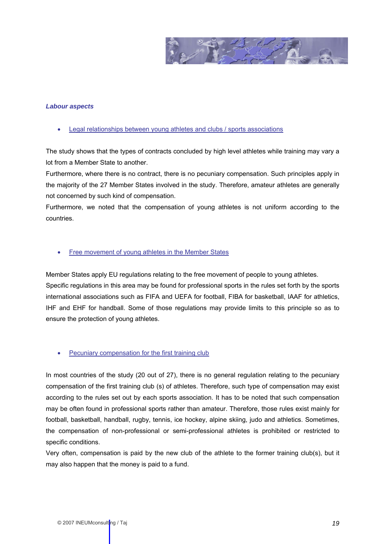

### *Labour aspects*

• Legal relationships between young athletes and clubs / sports associations

The study shows that the types of contracts concluded by high level athletes while training may vary a lot from a Member State to another.

Furthermore, where there is no contract, there is no pecuniary compensation. Such principles apply in the majority of the 27 Member States involved in the study. Therefore, amateur athletes are generally not concerned by such kind of compensation.

Furthermore, we noted that the compensation of young athletes is not uniform according to the countries.

### • Free movement of young athletes in the Member States

Member States apply EU regulations relating to the free movement of people to young athletes. Specific regulations in this area may be found for professional sports in the rules set forth by the sports international associations such as FIFA and UEFA for football, FIBA for basketball, IAAF for athletics, IHF and EHF for handball. Some of those regulations may provide limits to this principle so as to ensure the protection of young athletes.

#### • Pecuniary compensation for the first training club

In most countries of the study (20 out of 27), there is no general regulation relating to the pecuniary compensation of the first training club (s) of athletes. Therefore, such type of compensation may exist according to the rules set out by each sports association. It has to be noted that such compensation may be often found in professional sports rather than amateur. Therefore, those rules exist mainly for football, basketball, handball, rugby, tennis, ice hockey, alpine skiing, judo and athletics. Sometimes, the compensation of non-professional or semi-professional athletes is prohibited or restricted to specific conditions.

Very often, compensation is paid by the new club of the athlete to the former training club(s), but it may also happen that the money is paid to a fund.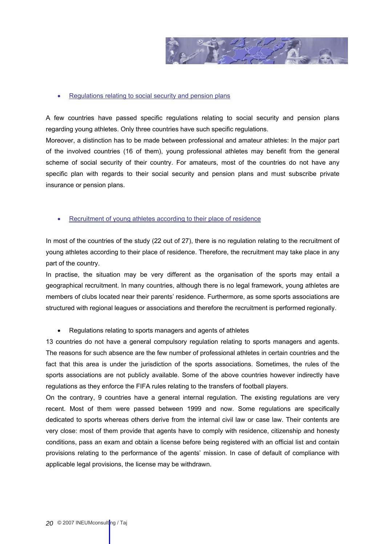

#### • Regulations relating to social security and pension plans

A few countries have passed specific regulations relating to social security and pension plans regarding young athletes. Only three countries have such specific regulations.

Moreover, a distinction has to be made between professional and amateur athletes: In the major part of the involved countries (16 of them), young professional athletes may benefit from the general scheme of social security of their country. For amateurs, most of the countries do not have any specific plan with regards to their social security and pension plans and must subscribe private insurance or pension plans.

### Recruitment of young athletes according to their place of residence

In most of the countries of the study (22 out of 27), there is no regulation relating to the recruitment of young athletes according to their place of residence. Therefore, the recruitment may take place in any part of the country.

In practise, the situation may be very different as the organisation of the sports may entail a geographical recruitment. In many countries, although there is no legal framework, young athletes are members of clubs located near their parents' residence. Furthermore, as some sports associations are structured with regional leagues or associations and therefore the recruitment is performed regionally.

# • Regulations relating to sports managers and agents of athletes

13 countries do not have a general compulsory regulation relating to sports managers and agents. The reasons for such absence are the few number of professional athletes in certain countries and the fact that this area is under the jurisdiction of the sports associations. Sometimes, the rules of the sports associations are not publicly available. Some of the above countries however indirectly have regulations as they enforce the FIFA rules relating to the transfers of football players.

On the contrary, 9 countries have a general internal regulation. The existing regulations are very recent. Most of them were passed between 1999 and now. Some regulations are specifically dedicated to sports whereas others derive from the internal civil law or case law. Their contents are very close: most of them provide that agents have to comply with residence, citizenship and honesty conditions, pass an exam and obtain a license before being registered with an official list and contain provisions relating to the performance of the agents' mission. In case of default of compliance with applicable legal provisions, the license may be withdrawn.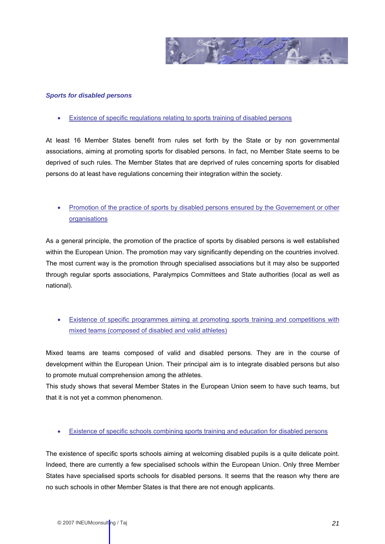

#### *Sports for disabled persons*

• Existence of specific regulations relating to sports training of disabled persons

At least 16 Member States benefit from rules set forth by the State or by non governmental associations, aiming at promoting sports for disabled persons. In fact, no Member State seems to be deprived of such rules. The Member States that are deprived of rules concerning sports for disabled persons do at least have regulations concerning their integration within the society.

# • Promotion of the practice of sports by disabled persons ensured by the Governement or other organisations

As a general principle, the promotion of the practice of sports by disabled persons is well established within the European Union. The promotion may vary significantly depending on the countries involved. The most current way is the promotion through specialised associations but it may also be supported through regular sports associations, Paralympics Committees and State authorities (local as well as national).

• Existence of specific programmes aiming at promoting sports training and competitions with mixed teams (composed of disabled and valid athletes)

Mixed teams are teams composed of valid and disabled persons. They are in the course of development within the European Union. Their principal aim is to integrate disabled persons but also to promote mutual comprehension among the athletes.

This study shows that several Member States in the European Union seem to have such teams, but that it is not yet a common phenomenon.

• Existence of specific schools combining sports training and education for disabled persons

The existence of specific sports schools aiming at welcoming disabled pupils is a quite delicate point. Indeed, there are currently a few specialised schools within the European Union. Only three Member States have specialised sports schools for disabled persons. It seems that the reason why there are no such schools in other Member States is that there are not enough applicants.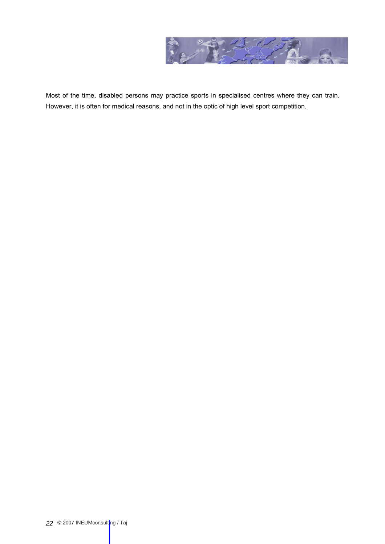

Most of the time, disabled persons may practice sports in specialised centres where they can train. However, it is often for medical reasons, and not in the optic of high level sport competition.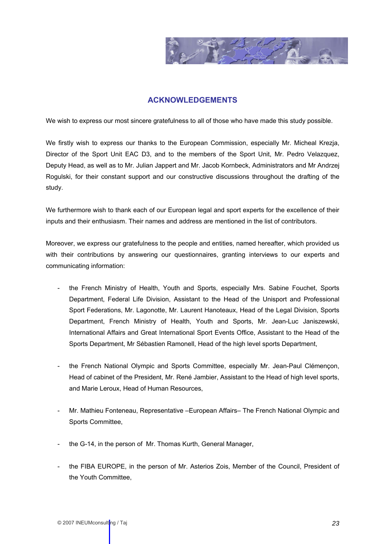

# **ACKNOWLEDGEMENTS**

<span id="page-22-0"></span>We wish to express our most sincere gratefulness to all of those who have made this study possible.

We firstly wish to express our thanks to the European Commission, especially Mr. Micheal Krezja, Director of the Sport Unit EAC D3, and to the members of the Sport Unit, Mr. Pedro Velazquez, Deputy Head, as well as to Mr. Julian Jappert and Mr. Jacob Kornbeck, Administrators and Mr Andrzej Rogulski, for their constant support and our constructive discussions throughout the drafting of the study.

We furthermore wish to thank each of our European legal and sport experts for the excellence of their inputs and their enthusiasm. Their names and address are mentioned in the list of contributors.

Moreover, we express our gratefulness to the people and entities, named hereafter, which provided us with their contributions by answering our questionnaires, granting interviews to our experts and communicating information:

- the French Ministry of Health, Youth and Sports, especially Mrs. Sabine Fouchet, Sports Department, Federal Life Division, Assistant to the Head of the Unisport and Professional Sport Federations, Mr. Lagonotte, Mr. Laurent Hanoteaux, Head of the Legal Division, Sports Department, French Ministry of Health, Youth and Sports, Mr. Jean-Luc Janiszewski, International Affairs and Great International Sport Events Office, Assistant to the Head of the Sports Department, Mr Sébastien Ramonell, Head of the high level sports Department,
- the French National Olympic and Sports Committee, especially Mr. Jean-Paul Clémençon, Head of cabinet of the President, Mr. René Jambier, Assistant to the Head of high level sports, and Marie Leroux, Head of Human Resources,
- Mr. Mathieu Fonteneau, Representative –European Affairs– The French National Olympic and Sports Committee,
- the G-14, in the person of Mr. Thomas Kurth, General Manager,
- the FIBA EUROPE, in the person of Mr. Asterios Zois, Member of the Council, President of the Youth Committee,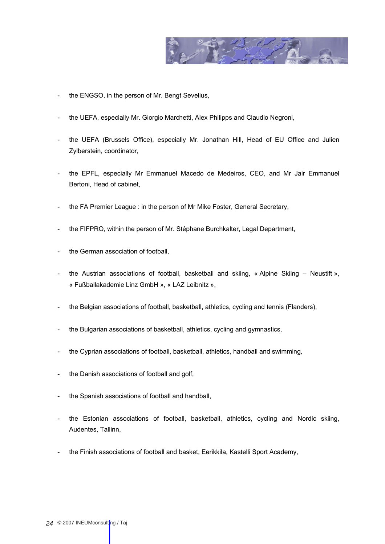

- the ENGSO, in the person of Mr. Bengt Sevelius,
- the UEFA, especially Mr. Giorgio Marchetti, Alex Philipps and Claudio Negroni,
- the UEFA (Brussels Office), especially Mr. Jonathan Hill, Head of EU Office and Julien Zylberstein, coordinator,
- the EPFL, especially Mr Emmanuel Macedo de Medeiros, CEO, and Mr Jair Emmanuel Bertoni, Head of cabinet,
- the FA Premier League : in the person of Mr Mike Foster, General Secretary,
- the FIFPRO, within the person of Mr. Stéphane Burchkalter, Legal Department,
- the German association of football,
- the Austrian associations of football, basketball and skiing, « Alpine Skiing Neustift », « Fußballakademie Linz GmbH », « LAZ Leibnitz »,
- the Belgian associations of football, basketball, athletics, cycling and tennis (Flanders),
- the Bulgarian associations of basketball, athletics, cycling and gymnastics,
- the Cyprian associations of football, basketball, athletics, handball and swimming,
- the Danish associations of football and golf,
- the Spanish associations of football and handball,
- the Estonian associations of football, basketball, athletics, cycling and Nordic skiing, Audentes, Tallinn,
- the Finish associations of football and basket, Eerikkila, Kastelli Sport Academy,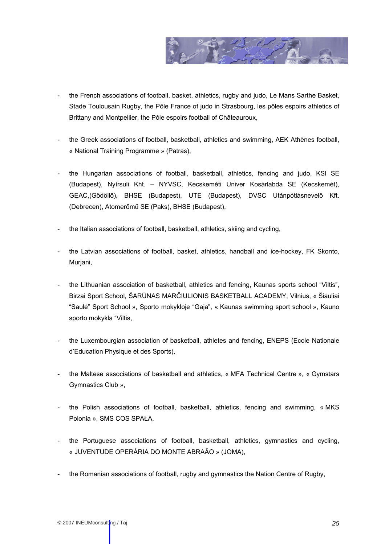

- the French associations of football, basket, athletics, rugby and judo, Le Mans Sarthe Basket, Stade Toulousain Rugby, the Pôle France of judo in Strasbourg, les pôles espoirs athletics of Brittany and Montpellier, the Pôle espoirs football of Châteauroux,
- the Greek associations of football, basketball, athletics and swimming, AEK Athènes football, « National Training Programme » (Patras),
- the Hungarian associations of football, basketball, athletics, fencing and judo, KSI SE (Budapest), Nyírsuli Kht. – NYVSC, Kecskeméti Univer Kosárlabda SE (Kecskemét), GEAC,(Gödöllő), BHSE (Budapest), UTE (Budapest), DVSC Utánpótlásnevelő Kft. (Debrecen), Atomerőmű SE (Paks), BHSE (Budapest),
- the Italian associations of football, basketball, athletics, skiing and cycling,
- the Latvian associations of football, basket, athletics, handball and ice-hockey, FK Skonto, Murjani,
- the Lithuanian association of basketball, athletics and fencing, Kaunas sports school "Viltis", Birzai Sport School, ŠARŪNAS MARČIULIONIS BASKETBALL ACADEMY, Vilnius, « Šiauliai "Saulė" Sport School », Sporto mokykloje "Gaja", « Kaunas swimming sport school », Kauno sporto mokykla "Viltis,
- the Luxembourgian association of basketball, athletes and fencing, ENEPS (Ecole Nationale d'Education Physique et des Sports),
- the Maltese associations of basketball and athletics, « MFA Technical Centre », « Gymstars Gymnastics Club »,
- the Polish associations of football, basketball, athletics, fencing and swimming, « MKS Polonia », SMS COS SPAŁA,
- the Portuguese associations of football, basketball, athletics, gymnastics and cycling, « JUVENTUDE OPERÁRIA DO MONTE ABRAÃO » (JOMA),
- the Romanian associations of football, rugby and gymnastics the Nation Centre of Rugby,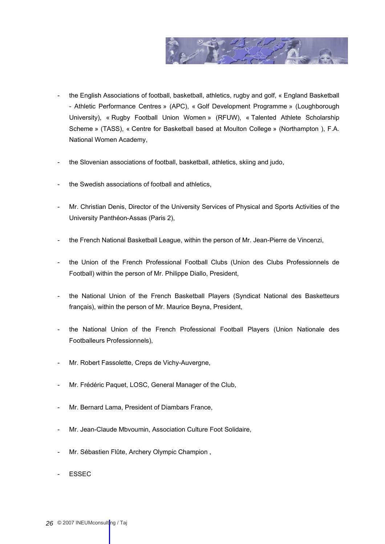

- the English Associations of football, basketball, athletics, rugby and golf, « England Basketball - Athletic Performance Centres » (APC), « Golf Development Programme » (Loughborough University), « Rugby Football Union Women » (RFUW), « Talented Athlete Scholarship Scheme » (TASS), « Centre for Basketball based at Moulton College » (Northampton ), F.A. National Women Academy,
- the Slovenian associations of football, basketball, athletics, skiing and judo,
- the Swedish associations of football and athletics,
- Mr. Christian Denis, Director of the University Services of Physical and Sports Activities of the University Panthéon-Assas (Paris 2),
- the French National Basketball League, within the person of Mr. Jean-Pierre de Vincenzi,
- the Union of the French Professional Football Clubs (Union des Clubs Professionnels de Football) within the person of Mr. Philippe Diallo, President,
- the National Union of the French Basketball Players (Syndicat National des Basketteurs français), within the person of Mr. Maurice Beyna, President,
- the National Union of the French Professional Football Players (Union Nationale des Footballeurs Professionnels),
- Mr. Robert Fassolette, Creps de Vichy-Auvergne,
- Mr. Frédéric Paquet, LOSC, General Manager of the Club,
- Mr. Bernard Lama, President of Diambars France,
- Mr. Jean-Claude Mbvoumin, Association Culture Foot Solidaire,
- Mr. Sébastien Flûte, Archery Olympic Champion,
- **ESSEC**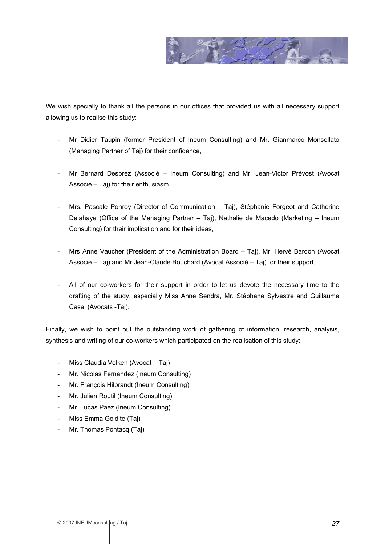

We wish specially to thank all the persons in our offices that provided us with all necessary support allowing us to realise this study:

- Mr Didier Taupin (former President of Ineum Consulting) and Mr. Gianmarco Monsellato (Managing Partner of Taj) for their confidence,
- Mr Bernard Desprez (Associé Ineum Consulting) and Mr. Jean-Victor Prévost (Avocat Associé – Taj) for their enthusiasm,
- Mrs. Pascale Ponroy (Director of Communication Taj), Stéphanie Forgeot and Catherine Delahaye (Office of the Managing Partner – Taj), Nathalie de Macedo (Marketing – Ineum Consulting) for their implication and for their ideas,
- Mrs Anne Vaucher (President of the Administration Board Taj), Mr. Hervé Bardon (Avocat Associé – Taj) and Mr Jean-Claude Bouchard (Avocat Associé – Taj) for their support,
- All of our co-workers for their support in order to let us devote the necessary time to the drafting of the study, especially Miss Anne Sendra, Mr. Stéphane Sylvestre and Guillaume Casal (Avocats -Taj).

Finally, we wish to point out the outstanding work of gathering of information, research, analysis, synthesis and writing of our co-workers which participated on the realisation of this study:

- Miss Claudia Volken (Avocat Taj)
- Mr. Nicolas Fernandez (Ineum Consulting)
- Mr. François Hilbrandt (Ineum Consulting)
- Mr. Julien Routil (Ineum Consulting)
- Mr. Lucas Paez (Ineum Consulting)
- Miss Emma Goldite (Taj)
- Mr. Thomas Pontacq (Taj)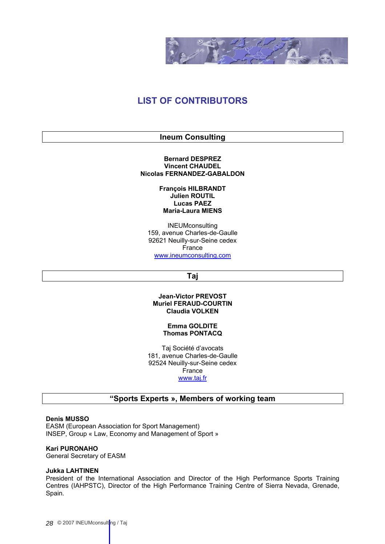

# <span id="page-27-1"></span><span id="page-27-0"></span>**LIST OF CONTRIBUTORS**

# **Ineum Consulting**

#### **Bernard DESPREZ Vincent CHAUDEL Nicolas FERNANDEZ-GABALDON**

### **François HILBRANDT Julien ROUTIL Lucas PAEZ Maria-Laura MIENS**

<span id="page-27-2"></span>INEUMconsulting 159, avenue Charles-de-Gaulle 92621 Neuilly-sur-Seine cedex France [www.ineumconsulting.com](http://www.ineumconsulting.com/)

# **Taj**

### **Jean-Victor PREVOST Muriel FERAUD-COURTIN Claudia VOLKEN**

#### **Emma GOLDITE Thomas PONTACQ**

Taj Société d'avocats 181, avenue Charles-de-Gaulle 92524 Neuilly-sur-Seine cedex France [www.taj.fr](http://www.taj.fr/)

# **"Sports Experts », Members of working team**

#### <span id="page-27-3"></span>**Denis MUSSO**

EASM (European Association for Sport Management) INSEP, Group « Law, Economy and Management of Sport »

#### **Kari PURONAHO**

General Secretary of EASM

#### **Jukka LAHTINEN**

President of the International Association and Director of the High Performance Sports Training Centres (IAHPSTC), Director of the High Performance Training Centre of Sierra Nevada, Grenade, Spain.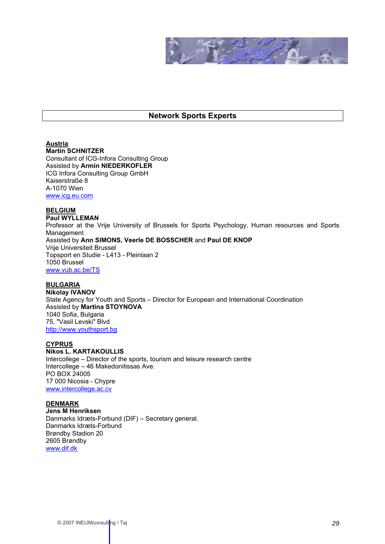

# **Network Sports Experts**

# <span id="page-28-0"></span>**Austria**

**Martin SCHNITZER** Consultant of ICG-Infora Consulting Group Assisted by **Armin NIEDERKOFLER** ICG Infora Consulting Group GmbH Kaiserstraße 8 A-1070 Wien [www.icg.eu.com](http://www.icg.eu.com/)

### **BELGIUM**

**Paul WYLLEMAN**  Professor at the Vrije University of Brussels for Sports Psychology, Human resources and Sports Management Assisted by **Ann SIMONS, Veerle DE BOSSCHER** and **Paul DE KNOP** Vrije Universiteit Brussel Topsport en Studie - L413 - Pleinlaan 2 1050 Brussel [www.vub.ac.be/TS](http://www.vub.ac.be/TS)

# **BULGARIA**

**Nikolay IVANOV**  State Agency for Youth and Sports – Director for European and International Coordination Assisted by **Martina STOYNOVA**  1040 Sofia, Bulgaria 75, "Vasil Levski" Blvd [http://www.youthsport.bg](http://www.youthsport.bg/)

# **CYPRUS**

# **Nikos L. KARTAKOULLIS**

Intercollege – Director of the sports, tourism and leisure research centre Intercollege – 46 Makedonitissas Ave. PO BOX 24005 17 000 Nicosia - Chypre [www.intercollege.ac.cv](#page-0-0)

#### **DENMARK**

**Jens M Henriksen**  Danmarks Idræts-Forbund (DIF) – Secretary general. Danmarks Idræts-Forbund Brøndby Stadion 20 2605 Brøndby [www.dif.dk](#page-0-0)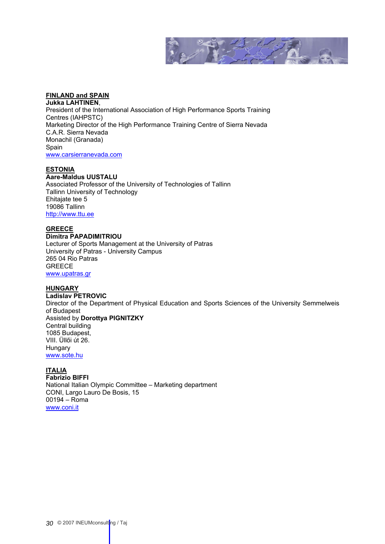

# **FINLAND and SPAIN**

**Jukka LAHTINEN**, President of the International Association of High Performance Sports Training Centres (IAHPSTC) Marketing Director of the High Performance Training Centre of Sierra Nevada C.A.R. Sierra Nevada Monachil (Granada) Spain [www.carsierranevada.com](http://www.carsierranevada.com/)

# **ESTONIA**

# **Aare-Maldus UUSTALU**

Associated Professor of the University of Technologies of Tallinn Tallinn University of Technology Ehitajate tee 5 19086 Tallinn http://www.ttu.ee

#### **GREECE Dimitra PAPADIMITRIOU**

Lecturer of Sports Management at the University of Patras University of Patras - University Campus 265 04 Rio Patras **GREECE** [www.upatras.gr](http://www.upatras.gr/)

#### **HUNGARY**

**Ladislav PETROVIC**  Director of the Department of Physical Education and Sports Sciences of the University Semmelweis of Budapest Assisted by **Dorottya PIGNITZKY** Central building 1085 Budapest, VIII. Üllői út 26. Hungary [www.sote.hu](http://www.sote.hu/)

# **ITALIA**

**Fabrizio BIFFI**  National Italian Olympic Committee – Marketing department CONI, Largo Lauro De Bosis, 15 00194 – Roma [www.coni.it](#page-0-0)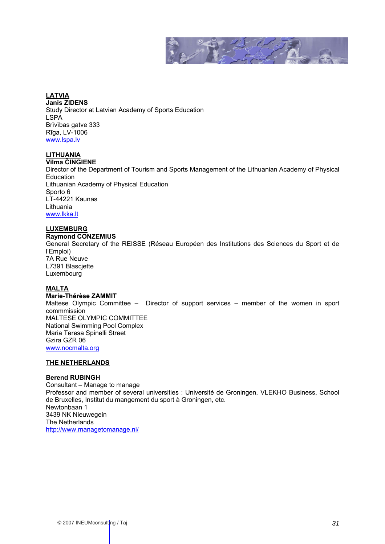

#### **LATVIA Janis ZIDENS**  Study Director at Latvian Academy of Sports Education LSPA Brīvības gatve 333 Rīga, LV-1006 www.lspa.lv

# **LITHUANIA**

**Vilma ČINGIENE**  Director of the Department of Tourism and Sports Management of the Lithuanian Academy of Physical Education Lithuanian Academy of Physical Education Sporto 6 LT-44221 Kaunas Lithuania [www.lkka.lt](http://www.lkka.lt/)

# **LUXEMBURG**

**Raymond CONZEMIUS** 

General Secretary of the REISSE (Réseau Européen des Institutions des Sciences du Sport et de l'Emploi) 7A Rue Neuve

L7391 Blascjette Luxembourg

# **MALTA**

**Marie-Thérèse ZAMMIT** 

Maltese Olympic Committee – Director of support services – member of the women in sport commmission MALTESE OLYMPIC COMMITTEE National Swimming Pool Complex Maria Teresa Spinelli Street Gzira GZR 06 [www.nocmalta.org](#page-0-0)

# **THE NETHERLANDS**

# **Berend RUBINGH**

Consultant – Manage to manage Professor and member of several universities : Université de Groningen, VLEKHO Business, School de Bruxelles, Institut du mangement du sport à Groningen, etc. Newtonbaan 1 3439 NK Nieuwegein The Netherlands <http://www.managetomanage.nl/>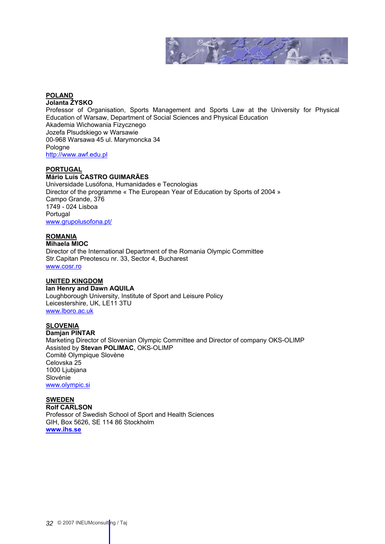

# **POLAND**

#### **Jolanta ŻYSKO**

Professor of Organisation, Sports Management and Sports Law at the University for Physical Education of Warsaw, Department of Social Sciences and Physical Education Akademia Wichowania Fizycznego Jozefa Plsudskiego w Warsawie 00-968 Warsawa 45 ul. Marymoncka 34 Pologne [http://www.awf.edu.pl](http://www.awf.edu.pl/)

### **PORTUGAL**

# **Mário Luís CASTRO GUIMARÃES**

Universidade Lusófona, Humanidades e Tecnologias Director of the programme « The European Year of Education by Sports of 2004 » Campo Grande, 376 1749 - 024 Lisboa Portugal [www.grupolusofona.pt/](http://www.grupolusofona.pt/)

#### **ROMANIA Mihaela MIOC**

Director of the International Department of the Romania Olympic Committee Str.Capitan Preotescu nr. 33, Sector 4, Bucharest [www.cosr.ro](#page-0-0)

# **UNITED KINGDOM**

**Ian Henry and Dawn AQUILA**  Loughborough University, Institute of Sport and Leisure Policy Leicestershire, UK, LE11 3TU [www.lboro.ac.uk](#page-0-0)

# **SLOVENIA**

**Damjan PINTAR** 

Marketing Director of Slovenian Olympic Committee and Director of company OKS-OLIMP Assisted by **Stevan POLIMAC**, OKS-OLIMP Comité Olympique Slovène Celovska 25 1000 Ljubjana Slovénie [www.olympic.si](http://www.olympic.si/)

**SWEDEN Rolf CARLSON**  Professor of Swedish School of Sport and Health Sciences GIH, Box 5626, SE 114 86 Stockholm **[www.ihs.se](http://www.ihs.se/)**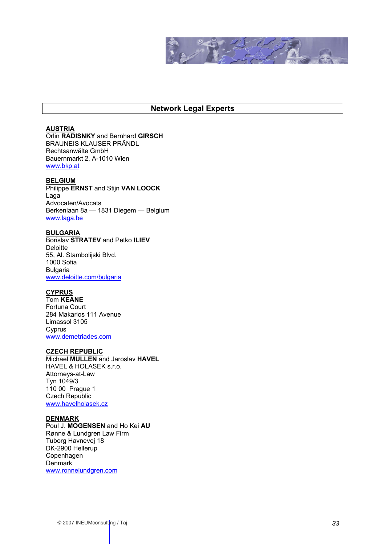

# **Network Legal Experts**

# <span id="page-32-0"></span>**AUSTRIA**

Orlin **RADISNKY** and Bernhard **GIRSCH** BRAUNEIS KLAUSER PRÄNDL Rechtsanwälte GmbH Bauernmarkt 2, A-1010 Wien [www.bkp.at](http://www.bkp.at/)

#### **BELGIUM**

Philippe **ERNST** and Stijn **VAN LOOCK** Laga Advocaten/Avocats Berkenlaan 8a — 1831 Diegem — Belgium [www.laga.be](http://www.laga.be/)

#### **BULGARIA**

Borislav **STRATEV** and Petko **ILIEV Deloitte** 55, Al. Stambolijski Blvd. 1000 Sofia Bulgaria [www.deloitte.com/bulgaria](#page-0-0)

# **CYPRUS**

Tom **KEANE** Fortuna Court 284 Makarios 111 Avenue Limassol 3105 Cyprus [www.demetriades.com](http://www.demetriades.com/)

# **CZECH REPUBLIC**

Michael **MULLEN** and Jaroslav **HAVEL** HAVEL & HOLASEK s.r.o. Attorneys-at-Law Tyn 1049/3 110 00 Prague 1 Czech Republic [www.havelholasek.cz](http://www.havelholasek.cz/) 

#### **DENMARK**

Poul J. **MOGENSEN** and Ho Kei **AU** Rønne & Lundgren Law Firm Tuborg Havnevej 18 DK-2900 Hellerup Copenhagen Denmark [www.ronnelundgren.com](#page-0-0)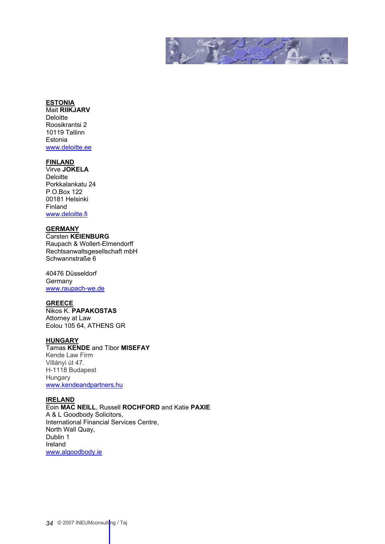

# **ESTONIA**

Mait **RIIKJARV Deloitte** Roosikrantsi 2 10119 Tallinn Estonia [www.deloitte.ee](http://www.deloitte.ee/)

# **FINLAND**

Virve **JOKELA Deloitte** Porkkalankatu 24 P.O.Box 122 00181 Helsinki Finland [www.deloitte.fi](http://www.deloitte.fi/)

# **GERMANY**

Carsten **KEIENBURG** Raupach & Wollert-Elmendorff Rechtsanwaltsgesellschaft mbH Schwannstraße 6

40476 Düsseldorf Germany [www.raupach-we.de](http://www.raupach-we.de/)

# **GREECE**

Nikos K. **PAPAKOSTAS** Attorney at Law Eolou 105 64, ATHENS GR

# **HUNGARY**

Tamas **KENDE** and Tibor **MISEFAY** Kende Law Firm Villányi út 47. H-1118 Budapest Hungary [www.kendeandpartners.hu](http://www.kendeandpartners.hu/)

# **IRELAND**

Eoin **MAC NEILL**, Russell **ROCHFORD** and Katie **PAXIE** A & L Goodbody Solicitors, International Financial Services Centre, North Wall Quay, Dublin 1 Ireland ww[w.algoodbody.ie](mailto:emacneill@algoodbody.ie)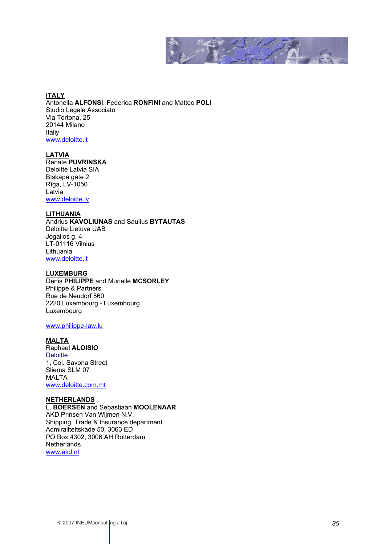

**ITALY** Antonella **ALFONSI**, Federica **RONFINI** and Matteo **POLI** Studio Legale Associato Via Tortona, 25 20144 Milano Italiy [www.deloitte.it](#page-0-0)

# **LATVIA**

Renate **PUVRINSKA** Deloitte Latvia SIA Bīskapa gāte 2 Rīga, LV-1050 Latvia [www.deloitte.lv](http://www.deloitte.lv/)

# **LITHUANIA**

Andrius **KAVOLIUNAS** and Saulius **BYTAUTAS** Deloitte Lietuva UAB Jogailos g. 4 LT-01116 Vilnius Lithuania [www.deloitte.lt](#page-0-0)

# **LUXEMBURG**

Denis **PHILIPPE** and Murielle **MCSORLEY** Philippe & Partners Rue de Neudorf 560 2220 Luxembourg - Luxembourg Luxembourg

# [www.philippe-law.lu](http://www.philippe-law.lu/)

#### **MALTA**

Raphael **ALOISIO Deloitte** 1, Col. Savona Street Sliema SLM 07 MALTA [www.deloitte.com.mt](http://www.deloitte.com.mt/)

# **NETHERLANDS**

L. **BOERSEN** and Sebastiaan **MOOLENAAR** AKD Prinsen Van Wijmen N.V. Shipping, Trade & Insurance department Admiraliteitskade 50, 3063 ED PO Box 4302, 3006 AH Rotterdam **Netherlands** [www.akd.nl](http://www.akd.nl/)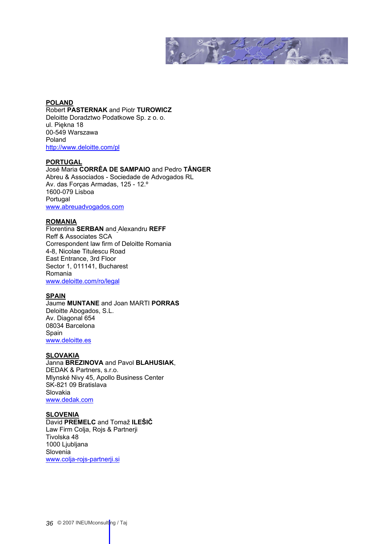

**POLAND** Robert **PASTERNAK** and Piotr **TUROWICZ** Deloitte Doradztwo Podatkowe Sp. z o. o. ul. Piękna 18 00-549 Warszawa Poland <http://www.deloitte.com/pl>

#### **PORTUGAL**

José Maria **CORRÊA DE SAMPAIO** and Pedro **TÂNGER**  Abreu & Associados - Sociedade de Advogados RL Av. das Forças Armadas, 125 - 12.º 1600-079 Lisboa Portugal [www.abreuadvogados.com](http://www.abreuadvogados.com/)

### **ROMANIA**

Florentina **SERBAN** and Alexandru **REFF** Reff & Associates SCA Correspondent law firm of Deloitte Romania 4-8, Nicolae Titulescu Road East Entrance, 3rd Floor Sector 1, 011141, Bucharest Romania [www.deloitte.com/ro/legal](http://www.deloitte.com/ro/legal)

# **SPAIN**

Jaume **MUNTANE** and Joan MARTI **PORRAS** Deloitte Abogados, S.L. Av. Diagonal 654 08034 Barcelona Spain [www.deloitte.es](http://www.deloitte.es/)

#### **SLOVAKIA**

### Janna **BREZINOVA** and Pavol **BLAHUSIAK**, DEDAK & Partners, s.r.o. Mlynské Nivy 45, Apollo Business Center

SK-821 09 Bratislava Slovakia [www.dedak.com](http://www.dedak.com/)

# **SLOVENIA**

David **PREMELC** and Tomaž **ILEŠIČ** Law Firm Colja, Rojs & Partnerji Tivolska 48 1000 Ljubljana Slovenia [www.colja-rojs-partnerji.si](http://www.colja-rojs-partnerji.si/)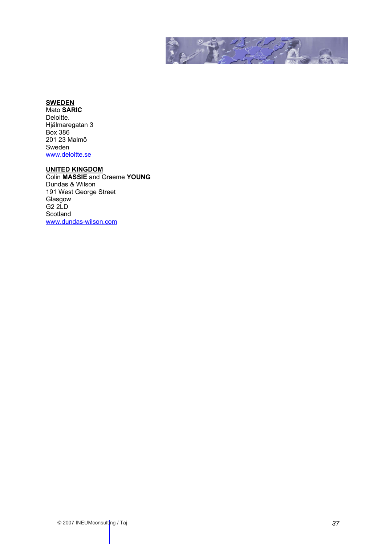

# **SWEDEN**

Mato **SARIC** Deloitte. Hjälmaregatan 3 Box 386 201 23 Malmö Sweden [www.deloitte.se](http://www.deloitte.se/)

#### **UNITED KINGDOM**

Colin **MASSIE** and Graeme **YOUNG** Dundas & Wilson 191 West George Street Glasgow G2 2LD Scotland [www.dundas-wilson.com](http://www.dundas-wilson.com/)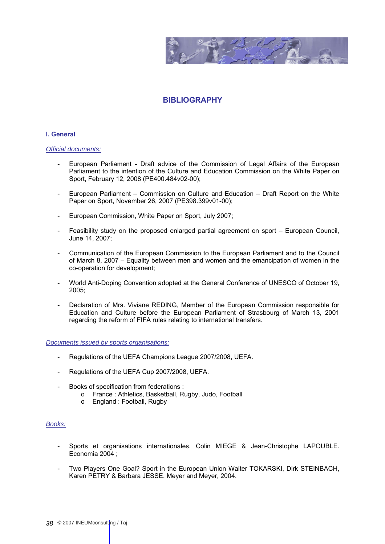

# **BIBLIOGRAPHY**

#### <span id="page-37-0"></span>**I. General**

#### *Official documents:*

- European Parliament Draft advice of the Commission of Legal Affairs of the European Parliament to the intention of the Culture and Education Commission on the White Paper on Sport, February 12, 2008 (PE400.484v02-00);
- European Parliament Commission on Culture and Education Draft Report on the White Paper on Sport, November 26, 2007 (PE398.399v01-00);
- European Commission, White Paper on Sport, July 2007;
- Feasibility study on the proposed enlarged partial agreement on sport European Council, June 14, 2007;
- Communication of the European Commission to the European Parliament and to the Council of March 8, 2007 – Equality between men and women and the emancipation of women in the co-operation for development;
- World Anti-Doping Convention adopted at the General Conference of UNESCO of October 19, 2005;
- Declaration of Mrs. Viviane REDING, Member of the European Commission responsible for Education and Culture before the European Parliament of Strasbourg of March 13, 2001 regarding the reform of FIFA rules relating to international transfers.

*Documents issued by sports organisations:*

- Regulations of the UEFA Champions League 2007/2008, UEFA.
- Regulations of the UEFA Cup 2007/2008, UEFA.
- Books of specification from federations :
	- o France : Athletics, Basketball, Rugby, Judo, Football
	- o England : Football, Rugby

# *Books:*

- Sports et organisations internationales. Colin MIEGE & Jean-Christophe LAPOUBLE. Economia 2004 ;
- Two Players One Goal? Sport in the European Union Walter TOKARSKI, Dirk STEINBACH, Karen PETRY & Barbara JESSE. Meyer and Meyer, 2004.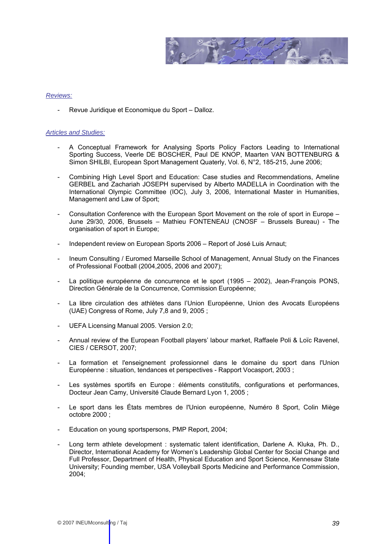

### *Reviews:*

- Revue Juridique et Economique du Sport – Dalloz.

### *Articles and Studies:*

- A Conceptual Framework for Analysing Sports Policy Factors Leading to International Sporting Success, Veerle DE BOSCHER, Paul DE KNOP, Maarten VAN BOTTENBURG & Simon SHILBI, European Sport Management Quaterly, Vol. 6, N°2, 185-215, June 2006;
- Combining High Level Sport and Education: Case studies and Recommendations, Ameline GERBEL and Zachariah JOSEPH supervised by Alberto MADELLA in Coordination with the International Olympic Committee (IOC), July 3, 2006, International Master in Humanities, Management and Law of Sport;
- Consultation Conference with the European Sport Movement on the role of sport in Europe June 29/30, 2006, Brussels – Mathieu FONTENEAU (CNOSF – Brussels Bureau) - The organisation of sport in Europe;
- Independent review on European Sports 2006 Report of José Luis Arnaut;
- Ineum Consulting / Euromed Marseille School of Management, Annual Study on the Finances of Professional Football (2004,2005, 2006 and 2007);
- La politique européenne de concurrence et le sport (1995 2002), Jean-François PONS, Direction Générale de la Concurrence, Commission Européenne;
- La libre circulation des athlètes dans l'Union Européenne, Union des Avocats Européens (UAE) Congress of Rome, July 7,8 and 9, 2005 ;
- UEFA Licensing Manual 2005. Version 2.0;
- Annual review of the European Football players' labour market, Raffaele Poli & Loïc Ravenel, CIES / CERSOT, 2007;
- La formation et l'enseignement professionnel dans le domaine du sport dans l'Union Européenne : situation, tendances et perspectives - Rapport Vocasport, 2003 ;
- Les systèmes sportifs en Europe : éléments constitutifs, configurations et performances, Docteur Jean Camy, Université Claude Bernard Lyon 1, 2005 ;
- Le sport dans les États membres de l'Union européenne, Numéro 8 Sport, Colin Miège octobre 2000 ;
- Education on young sportspersons, PMP Report, 2004;
- Long term athlete development : systematic talent identification, Darlene A. Kluka, Ph. D., Director, International Academy for Women's Leadership Global Center for Social Change and Full Professor, Department of Health, Physical Education and Sport Science, Kennesaw State University; Founding member, USA Volleyball Sports Medicine and Performance Commission, 2004;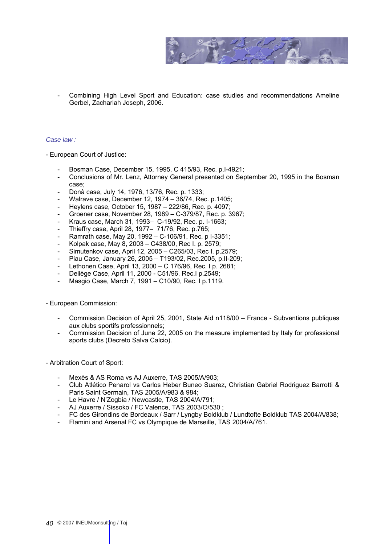

- Combining High Level Sport and Education: case studies and recommendations Ameline Gerbel, Zachariah Joseph, 2006.

# *Case law :*

- European Court of Justice:

- Bosman Case, December 15, 1995, C 415/93, Rec. p.I-4921;
- Conclusions of Mr. Lenz, Attorney General presented on September 20, 1995 in the Bosman case;
- Donà case, July 14, 1976, 13/76, Rec. p. 1333;
- Walrave case, December 12, 1974 36/74, Rec. p.1405;
- Heylens case, October 15, 1987 222/86, Rec. p. 4097;
- Groener case, November 28, 1989 C-379/87, Rec. p. 3967;
- Kraus case, March 31, 1993- C-19/92, Rec. p. I-1663;
- Thieffry case, April 28, 1977– 71/76, Rec. p.765;
- Ramrath case, May 20, 1992 C-106/91, Rec. p I-3351;
- Kolpak case, May 8, 2003 C438/00, Rec I. p. 2579;
- Simutenkov case, April 12, 2005 C265/03, Rec I. p.2579;
- Piau Case, January 26, 2005 T193/02, Rec.2005, p.II-209;
- Lethonen Case, April 13, 2000 C 176/96, Rec. I p. 2681;
- Deliège Case, April 11, 2000 C51/96, Rec.I p.2549;
- Masgio Case, March 7, 1991 C10/90, Rec. I p.1119.

- European Commission:

- Commission Decision of April 25, 2001, State Aid n118/00 France Subventions publiques aux clubs sportifs professionnels;
- Commission Decision of June 22, 2005 on the measure implemented by Italy for professional sports clubs (Decreto Salva Calcio).

- Arbitration Court of Sport:

- Mexès & AS Roma vs AJ Auxerre, TAS 2005/A/903;
- Club Atlético Penarol vs Carlos Heber Buneo Suarez, Christian Gabriel Rodriguez Barrotti & Paris Saint Germain, TAS 2005/A/983 & 984;
- Le Havre / N'Zogbia / Newcastle, TAS 2004/A/791;
- AJ Auxerre / Sissoko / FC Valence, TAS 2003/O/530 ;
- FC des Girondins de Bordeaux / Sarr / Lyngby Boldklub / Lundtofte Boldklub TAS 2004/A/838;
- Flamini and Arsenal FC vs Olympique de Marseille, TAS 2004/A/761.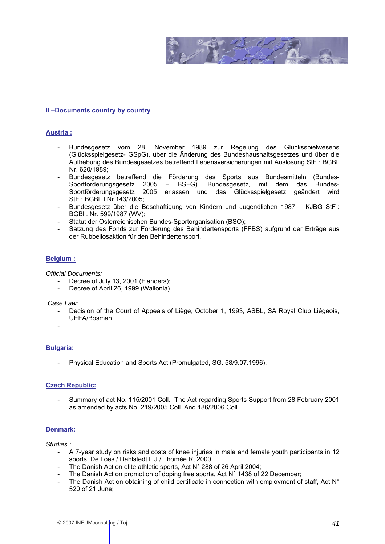

### **II –Documents country by country**

#### **Austria :**

- Bundesgesetz vom 28. November 1989 zur Regelung des Glücksspielwesens (Glücksspielgesetz- GSpG), über die Änderung des Bundeshaushaltsgesetzes und über die Aufhebung des Bundesgesetzes betreffend Lebensversicherungen mit Auslosung StF : BGBl. Nr. 620/1989;
- Bundesgesetz betreffend die Förderung des Sports aus Bundesmitteln (Bundes-Sportförderungsgesetz 2005 – BSFG). Bundesgesetz, mit dem das Bundes-Sportförderungsgesetz 2005 erlassen und das Glücksspielgesetz geändert wird StF : BGBl. I Nr 143/2005;
- Bundesgesetz über die Beschäftigung von Kindern und Jugendlichen 1987 KJBG StF : BGBl . Nr. 599/1987 (WV);
- Statut der Österreichischen Bundes-Sportorganisation (BSO);
- Satzung des Fonds zur Förderung des Behindertensports (FFBS) aufgrund der Erträge aus der Rubbellosaktion für den Behindertensport.

#### **Belgium :**

*Official Documents:* 

- Decree of July 13, 2001 (Flanders);
- Decree of April 26, 1999 (Wallonia).

 *Case Law:* 

- Decision of the Court of Appeals of Liège, October 1, 1993, ASBL, SA Royal Club Liégeois, UEFA/Bosman.
- -

#### **Bulgaria:**

Physical Education and Sports Act (Promulgated, SG. 58/9.07.1996).

### **Czech Republic:**

- Summary of act No. 115/2001 Coll. The Act regarding Sports Support from 28 February 2001 as amended by acts No. 219/2005 Coll. And 186/2006 Coll.

#### **Denmark:**

*Studies :* 

- A 7-year study on risks and costs of knee injuries in male and female youth participants in 12 sports, De Loës / Dahlstedt L.J./ Thomée R, 2000
- The Danish Act on elite athletic sports, Act  $N^{\circ}$  288 of 26 April 2004;
- The Danish Act on promotion of doping free sports, Act N° 1438 of 22 December;
- The Danish Act on obtaining of child certificate in connection with employment of staff, Act N° 520 of 21 June;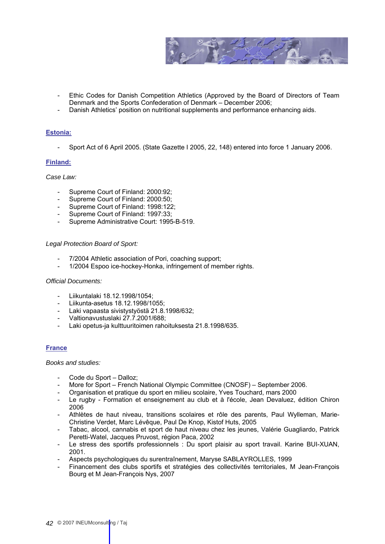

- Ethic Codes for Danish Competition Athletics (Approved by the Board of Directors of Team Denmark and the Sports Confederation of Denmark – December 2006;
- Danish Athletics' position on nutritional supplements and performance enhancing aids.

# **Estonia:**

- Sport Act of 6 April 2005. (State Gazette I 2005, 22, 148) entered into force 1 January 2006.

# **Finland:**

# *Case Law:*

- Supreme Court of Finland: 2000:92;
- Supreme Court of Finland: 2000:50;
- Supreme Court of Finland: 1998:122;
- Supreme Court of Finland: 1997:33;
- Supreme Administrative Court: 1995-B-519.

#### *Legal Protection Board of Sport:*

- 7/2004 Athletic association of Pori, coaching support;
- 1/2004 Espoo ice-hockey-Honka, infringement of member rights.

#### *Official Documents:*

- Liikuntalaki 18.12.1998/1054;
- Liikunta-asetus 18.12.1998/1055;
- Laki vapaasta sivistystyöstä 21.8.1998/632;
- Valtionavustuslaki 27.7.2001/688;
- Laki opetus-ja kulttuuritoimen rahoituksesta 21.8.1998/635.

# **France**

#### *Books and studies:*

- Code du Sport Dalloz;
- More for Sport French National Olympic Committee (CNOSF) September 2006.
- Organisation et pratique du sport en milieu scolaire, Yves Touchard, mars 2000
- Le rugby Formation et enseignement au club et à l'école, Jean Devaluez, édition Chiron 2006
- Athlètes de haut niveau, transitions scolaires et rôle des parents, Paul Wylleman, Marie-Christine Verdet, Marc Lévêque, Paul De Knop, Kistof Huts, 2005
- Tabac, alcool, cannabis et sport de haut niveau chez les jeunes, Valérie Guagliardo, Patrick Peretti-Watel, Jacques Pruvost, région Paca, 2002
- Le stress des sportifs professionnels : Du sport plaisir au sport travail. Karine BUI-XUAN, 2001.
- Aspects psychologiques du surentraînement, Maryse SABLAYROLLES, 1999
- Financement des clubs sportifs et stratégies des collectivités territoriales, M Jean-François Bourg et M Jean-François Nys, 2007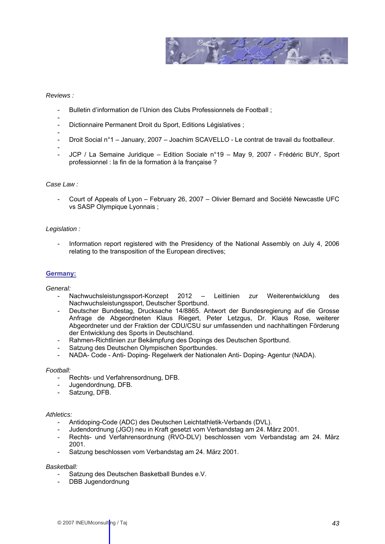

# *Reviews :*

-

- Bulletin d'information de l'Union des Clubs Professionnels de Football ;
- Dictionnaire Permanent Droit du Sport, Editions Législatives ;
- - Droit Social n°1 – January, 2007 – Joachim SCAVELLO - Le contrat de travail du footballeur.
- - JCP / La Semaine Juridique Edition Sociale n°19 May 9, 2007 Frédéric BUY, Sport professionnel : la fin de la formation à la française ?

#### *Case Law :*

- Court of Appeals of Lyon – February 26, 2007 – Olivier Bernard and Société Newcastle UFC vs SASP Olympique Lyonnais ;

# *Legislation :*

- Information report registered with the Presidency of the National Assembly on July 4, 2006 relating to the transposition of the European directives;

# **Germany:**

*General:* 

- Nachwuchsleistungssport-Konzept 2012 Leitlinien zur Weiterentwicklung des Nachwuchsleistungssport, Deutscher Sportbund.
- Deutscher Bundestag, Drucksache 14/8865. Antwort der Bundesregierung auf die Grosse Anfrage de Abgeordneten Klaus Riegert, Peter Letzgus, Dr. Klaus Rose, weiterer Abgeordneter und der Fraktion der CDU/CSU sur umfassenden und nachhaltingen Förderung der Entwicklung des Sports in Deutschland.
- Rahmen-Richtlinien zur Bekämpfung des Dopings des Deutschen Sportbund.
- Satzung des Deutschen Olympischen Sportbundes.
- NADA- Code Anti- Doping- Regelwerk der Nationalen Anti- Doping- Agentur (NADA).

#### *Football:*

- Rechts- und Verfahrensordnung, DFB.
- Jugendordnung, DFB.
- Satzung, DFB.

#### *Athletics:*

- Antidoping-Code (ADC) des Deutschen Leichtathletik-Verbands (DVL).
- Judendordnung (JGO) neu in Kraft gesetzt vom Verbandstag am 24. März 2001.
- Rechts- und Verfahrensordnung (RVO-DLV) beschlossen vom Verbandstag am 24. März 2001.
- Satzung beschlossen vom Verbandstag am 24. März 2001.

#### *Basketball:*

- Satzung des Deutschen Basketball Bundes e.V.
- DBB Jugendordnung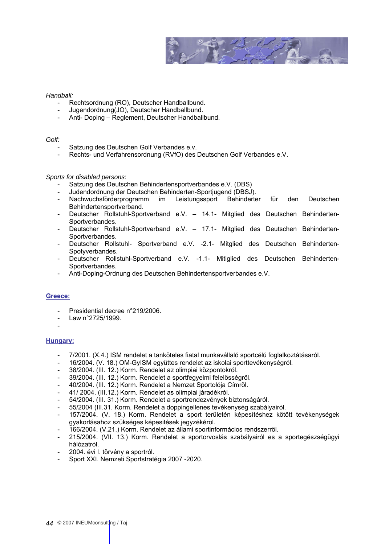

# *Handball:*

- Rechtsordnung (RO), Deutscher Handballbund.
- Jugendordnung(JO), Deutscher Handballbund.
- Anti- Doping Reglement, Deutscher Handballbund.

#### *Golf:*

- Satzung des Deutschen Golf Verbandes e.v.
- Rechts- und Verfahrensordnung (RVfO) des Deutschen Golf Verbandes e.V.

#### *Sports for disabled persons:*

- Satzung des Deutschen Behindertensportverbandes e.V. (DBS)
- Judendordnung der Deutschen Behinderten-Sportjugend (DBSJ).
- Nachwuchsförderprogramm im Leistungssport Behinderter für den Deutschen Behindertensportverband.
- Deutscher Rollstuhl-Sportverband e.V. 14.1- Mitglied des Deutschen Behinderten-Sportverbandes.
- Deutscher Rollstuhl-Sportverband e.V. 17.1- Mitglied des Deutschen Behinderten-Sportverbandes.
- Deutscher Rollstuhl- Sportverband e.V. -2.1- Mitglied des Deutschen Behinderten-Spotyverbandes.
- Deutscher Rollstuhl-Sportverband e.V. -1.1- Mitiglied des Deutschen Behinderten-Sportverbandes.
- Anti-Doping-Ordnung des Deutschen Behindertensportverbandes e.V.

#### **Greece:**

- Presidential decree n°219/2006.
- Law n°2725/1999.
- -

#### **Hungary:**

- 7/2001. (X.4.) ISM rendelet a tanköteles fiatal munkavállaló sportcélú foglalkoztátásaról.
- 16/2004. (V. 18.) OM-GyISM együttes rendelet az iskolai sporttevékenységról.
- 38/2004. (III. 12.) Korm. Rendelet az olimpiai központokról.
- 39/2004. (III. 12.) Korm. Rendelet a sportfegyelmi felelösségröl.
- 40/2004. (III. 12.) Korm. Rendelet a Nemzet Sportolója Címröl.
- 41/ 2004. (III.12.) Korm. Rendelet as olimpiai járadékról.
- 54/2004. (III. 31.) Korm. Rendelet a sportrendezvények biztonságáról.
- 55/2004 (III.31. Korm. Rendelet a doppingellenes tevékenység szabályairól.
- 157/2004. (V. 18.) Korm. Rendelet a sport területén képesítéshez kötött tevékenységek gyakorlásahoz szükséges képesitések jegyzékéröl.
- 166/2004. (V.21.) Korm. Rendelet az állami sportinformácios rendszerröl.
- 215/2004. (VII. 13.) Korm. Rendelet a sportorvoslás szabályairól es a sportegészségügyi hálózatról.
- 2004. évi I. törvény a sportról.
- Sport XXI. Nemzeti Sportstratégia 2007 -2020.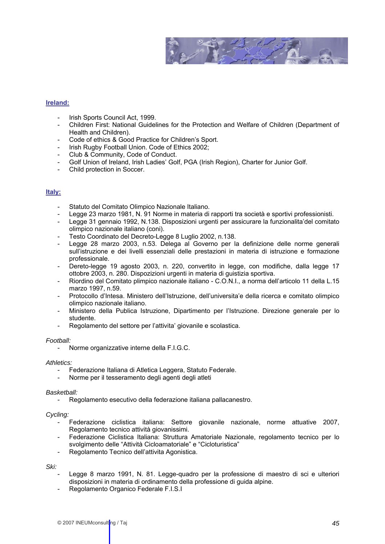

# **Ireland:**

- Irish Sports Council Act, 1999.
- Children First: National Guidelines for the Protection and Welfare of Children (Department of Health and Children).
- Code of ethics & Good Practice for Children's Sport.
- Irish Rugby Football Union. Code of Ethics 2002;
- Club & Community, Code of Conduct.
- Golf Union of Ireland, Irish Ladies' Golf, PGA (Irish Region), Charter for Junior Golf.
- Child protection in Soccer.

### **Italy:**

- Statuto del Comitato Olimpico Nazionale Italiano.
- Legge 23 marzo 1981, N. 91 Norme in materia di rapporti tra società e sportivi professionisti.
- Legge 31 gennaio 1992, N.138. Disposizioni urgenti per assicurare la funzionalita'del comitato olimpico nazionale italiano (coni).
- Testo Coordinato del Decreto-Legge 8 Luglio 2002, n.138.
- Legge 28 marzo 2003, n.53. Delega al Governo per la definizione delle norme generali sull'istruzione e dei livelli essenziali delle prestazioni in materia di istruzione e formazione professionale.
- Dereto-legge 19 agosto 2003, n. 220, convertito in legge, con modifiche, dalla legge 17 ottobre 2003, n. 280. Dispozizioni urgenti in materia di guistizia sportiva.
- Riordino del Comitato plimpico nazionale italiano C.O.N.I., a norma dell'articolo 11 della L.15 marzo 1997, n.59.
- Protocollo d'Intesa. Ministero dell'Istruzione, dell'universita'e della ricerca e comitato olimpico olimpico nazionale italiano.
- Ministero della Publica Istruzione, Dipartimento per l'Istruzione. Direzione generale per lo studente.
- Regolamento del settore per l'attivita' giovanile e scolastica.

#### *Football:*

- Norme organizzative interne della F.I.G.C.

#### *Athletics:*

- Federazione Italiana di Atletica Leggera, Statuto Federale.
- Norme per il tesseramento degli agenti degli atleti

#### *Basketball:*

- Regolamento esecutivo della federazione italiana pallacanestro.

#### *Cycling:*

- Federazione ciclistica italiana: Settore giovanile nazionale, norme attuative 2007, Regolamento tecnico attività giovanissimi.
- Federazione Ciclistica Italiana: Struttura Amatoriale Nazionale, regolamento tecnico per lo svolgimento delle "Attività Cicloamatoriale" e "Cicloturistica"
- Regolamento Tecnico dell'attivita Agonistica.

*Ski:* 

- Legge 8 marzo 1991, N. 81. Legge-quadro per la professione di maestro di sci e ulteriori disposizioni in materia di ordinamento della professione di guida alpine.
- Regolamento Organico Federale F.I.S.I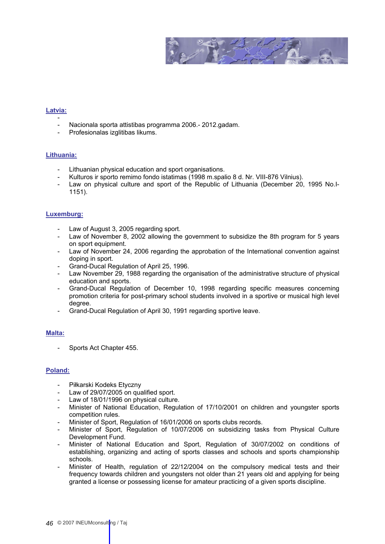

# **Latvia:**

- Nacionala sporta attistibas programma 2006.- 2012.gadam.
- Profesionalas izglitibas likums.

# **Lithuania:**

- Lithuanian physical education and sport organisations.
- Kulturos ir sporto remimo fondo istatimas (1998 m.spalio 8 d. Nr. VIII-876 Vilnius).
- Law on physical culture and sport of the Republic of Lithuania (December 20, 1995 No.I-1151).

### **Luxemburg:**

- Law of August 3, 2005 regarding sport.
- Law of November 8, 2002 allowing the government to subsidize the 8th program for 5 years on sport equipment.
- Law of November 24, 2006 regarding the approbation of the International convention against doping in sport.
- Grand-Ducal Regulation of April 25, 1996.
- Law November 29, 1988 regarding the organisation of the administrative structure of physical education and sports.
- Grand-Ducal Regulation of December 10, 1998 regarding specific measures concerning promotion criteria for post-primary school students involved in a sportive or musical high level degree.
- Grand-Ducal Regulation of April 30, 1991 regarding sportive leave.

# **Malta:**

Sports Act Chapter 455.

# **Poland:**

- Piłkarski Kodeks Etyczny
- Law of 29/07/2005 on qualified sport.
- Law of 18/01/1996 on physical culture.
- Minister of National Education, Regulation of 17/10/2001 on children and youngster sports competition rules.
- Minister of Sport, Regulation of 16/01/2006 on sports clubs records.
- Minister of Sport, Regulation of 10/07/2006 on subsidizing tasks from Physical Culture Development Fund.
- Minister of National Education and Sport, Regulation of 30/07/2002 on conditions of establishing, organizing and acting of sports classes and schools and sports championship schools.
- Minister of Health, regulation of 22/12/2004 on the compulsory medical tests and their frequency towards children and youngsters not older than 21 years old and applying for being granted a license or possessing license for amateur practicing of a given sports discipline.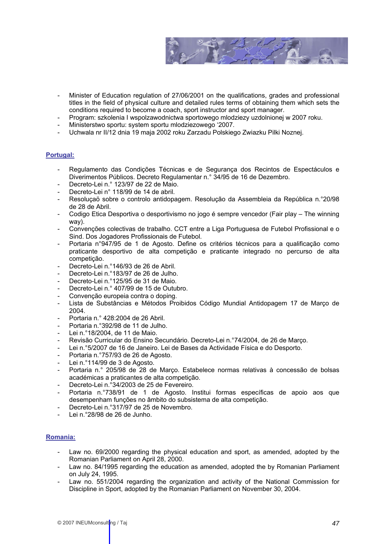

- Minister of Education regulation of 27/06/2001 on the qualifications, grades and professional titles in the field of physical culture and detailed rules terms of obtaining them which sets the conditions required to become a coach, sport instructor and sport manager.
- Program: szkolenia I wspolzawodnictwa sportowego mlodziezy uzdolnionej w 2007 roku.
- Ministerstwo sportu: system sportu mlodziezowego '2007.
- Uchwala nr II/12 dnia 19 maja 2002 roku Zarzadu Polskiego Zwiazku Pilki Noznej.

# **Portugal:**

- Regulamento das Condições Técnicas e de Segurança dos Recintos de Espectáculos e Diverimentos Públicos. Decreto Regulamentar n.° 34/95 de 16 de Dezembro.
- Decreto-Lei n.º 123/97 de 22 de Maio.
- Decreto-Lei n° 118/99 de 14 de abril.
- Resoluçaö sobre o controlo antidopagem. Resolução da Assembleia da República n.°20/98 de 28 de Abril.
- Codigo Etica Desportiva o desportivismo no jogo é sempre vencedor (Fair play The winning way).
- Convenções colectivas de trabalho. CCT entre a Liga Portuguesa de Futebol Profissional e o Sind. Dos Jogadores Profissionais de Futebol.
- Portaria n°947/95 de 1 de Agosto. Define os critérios técnicos para a qualificação como praticante desportivo de alta competição e praticante integrado no percurso de alta competição.
- Decreto-Lei n.°146/93 de 26 de Abril.
- Decreto-Lei n.°183/97 de 26 de Julho.
- Decreto-Lei n.º125/95 de 31 de Maio.
- Decreto-Lei n.º 407/99 de 15 de Outubro.
- Convenção europeia contra o doping.
- Lista de Substâncias e Métodos Proibidos Código Mundial Antidopagem 17 de Março de 2004.
- Portaria n.° 428:2004 de 26 Abril.
- Portaria n.º392/98 de 11 de Julho.
- Lei n.º18/2004, de 11 de Maio.
- Revisão Curricular do Ensino Secundário. Decreto-Lei n.º74/2004, de 26 de Março.
- Lei n.°5/2007 de 16 de Janeiro. Lei de Bases da Actividade Física e do Desporto.
- Portaria n.º757/93 de 26 de Agosto.
- Lei n.º114/99 de 3 de Agosto.
- Portaria n.º 205/98 de 28 de Março. Estabelece normas relativas à concessão de bolsas académicas a praticantes de alta competição.
- Decreto-Lei n.°34/2003 de 25 de Fevereiro.
- Portaria n.°738/91 de 1 de Agosto. Institui formas específicas de apoio aos que desempenham funções no âmbito do subsistema de alta competição.
- Decreto-Lei n.°317/97 de 25 de Novembro.
- Lei n.°28/98 de 26 de Junho.

# **Romania:**

- Law no. 69/2000 regarding the physical education and sport, as amended, adopted by the Romanian Parliament on April 28, 2000.
- Law no. 84/1995 regarding the education as amended, adopted the by Romanian Parliament on July 24, 1995.
- Law no. 551/2004 regarding the organization and activity of the National Commission for Discipline in Sport, adopted by the Romanian Parliament on November 30, 2004.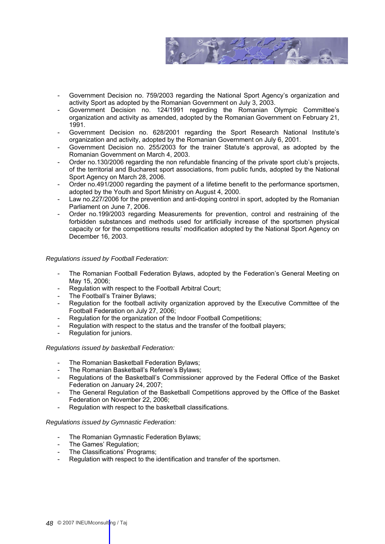

- Government Decision no. 759/2003 regarding the National Sport Agency's organization and activity Sport as adopted by the Romanian Government on July 3, 2003.
- Government Decision no. 124/1991 regarding the Romanian Olympic Committee's organization and activity as amended, adopted by the Romanian Government on February 21, 1991.
- Government Decision no. 628/2001 regarding the Sport Research National Institute's organization and activity, adopted by the Romanian Government on July 6, 2001.
- Government Decision no. 255/2003 for the trainer Statute's approval, as adopted by the Romanian Government on March 4, 2003.
- Order no.130/2006 regarding the non refundable financing of the private sport club's projects, of the territorial and Bucharest sport associations, from public funds, adopted by the National Sport Agency on March 28, 2006.
- Order no.491/2000 regarding the payment of a lifetime benefit to the performance sportsmen, adopted by the Youth and Sport Ministry on August 4, 2000.
- Law no.227/2006 for the prevention and anti-doping control in sport, adopted by the Romanian Parliament on June 7, 2006.
- Order no.199/2003 regarding Measurements for prevention, control and restraining of the forbidden substances and methods used for artificially increase of the sportsmen physical capacity or for the competitions results' modification adopted by the National Sport Agency on December 16, 2003.

### *Regulations issued by Football Federation:*

- The Romanian Football Federation Bylaws, adopted by the Federation's General Meeting on May 15, 2006;
- Regulation with respect to the Football Arbitral Court;
- The Football's Trainer Bylaws:
- Regulation for the football activity organization approved by the Executive Committee of the Football Federation on July 27, 2006;
- Regulation for the organization of the Indoor Football Competitions;
- Regulation with respect to the status and the transfer of the football players;
- Regulation for juniors.

#### *Regulations issued by basketball Federation:*

- The Romanian Basketball Federation Bylaws;
- The Romanian Basketball's Referee's Bylaws;
- The Romanian Basketball's Reteree's Bylaws;<br>- Regulations of the Basketball's Commissioner approved by the Federal Office of the Basket Federation on January 24, 2007;
- The General Regulation of the Basketball Competitions approved by the Office of the Basket Federation on November 22, 2006;
- Regulation with respect to the basketball classifications.

#### *Regulations issued by Gymnastic Federation:*

- The Romanian Gymnastic Federation Bylaws;
- The Games' Regulation;
- The Classifications' Programs;
- Regulation with respect to the identification and transfer of the sportsmen.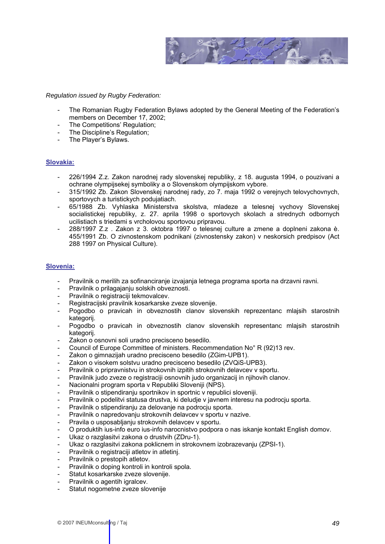

*Regulation issued by Rugby Federation:* 

- The Romanian Rugby Federation Bylaws adopted by the General Meeting of the Federation's members on December 17, 2002;
- The Competitions' Regulation;
- The Discipline's Regulation:
- The Player's Bylaws.

### **Slovakia:**

- 226/1994 Z.z. Zakon narodnej rady slovenskej republiky, z 18. augusta 1994, o pouzivani a ochrane olympijsekej symboliky a o Slovenskom olympijskom vybore.
- 315/1992 Zb. Zakon Slovenskej narodnej rady, zo 7. maja 1992 o verejnych telovychovnych, sportovych a turistickych podujatiach.
- 65/1988 Zb. Vyhlaska Ministerstva skolstva, mladeze a telesnej vychovy Slovenskej socialistickej republiky, z. 27. aprila 1998 o sportovych skolach a strednych odbornych ucilistiach s triedami s vrcholovou sportovou pripravou.
- 288/1997 Z.z . Zakon z 3. oktobra 1997 o telesnej culture a zmene a doplneni zakona è. 455/1991 Zb. O zivnostenskom podnikani (zivnostensky zakon) v neskorsich predpisov (Act 288 1997 on Physical Culture).

# **Slovenia:**

- Pravilnik o merilih za sofinanciranje izvajanja letnega programa sporta na drzavni ravni.
- Pravilnik o prilagajanju solskih obveznosti.
- Pravilnik o registraciji tekmovalcev.
- Registracijski pravilnik kosarkarske zveze slovenije.
- Pogodbo o pravicah in obveznostih clanov slovenskih reprezentanc mlajsih starostnih kategorij.
- Pogodbo o pravicah in obveznostih clanov slovenskih representanc mlajsih starostnih kategorij.
- Zakon o osnovni soli uradno precisceno besedilo.
- Council of Europe Committee of ministers. Recommendation No° R (92)13 rev.
- Zakon o gimnazijah uradno precisceno besedilo (ZGim-UPB1).
- Zakon o visokem solstvu uradno precisceno besedilo (ZVQiS-UPB3).
- Pravilnik o pripravnistvu in strokovnih izpitih strokovnih delavcev v sportu.
- Pravilnik judo zveze o registraciji osnovnih judo organizacij in njihovih clanov.
- Nacionalni program sporta v Republiki Sloveniji (NPS).
- Pravilnik o stipendiranju sportnikov in sportnic v republici sloveniji.
- Pravilnik o podelitvi statusa drustva, ki deludje v javnem interesu na podrocju sporta.
- Pravilnik o stipendiranju za delovanje na podrocju sporta.
- Pravilnik o napredovanju strokovnih delavcev v sportu v nazive.
- Pravila o usposabljanju strokovnih delavcev v sportu.
- O produktih ius-info euro ius-info narocnistvo podpora o nas iskanje kontakt English domov.
- Ukaz o razglasitvi zakona o drustvih (ZDru-1).
- Ukaz o razglasitvi zakona poklicnem in strokovnem izobrazevanju (ZPSI-1).
- Pravilnik o registraciji atletov in atletinj.
- Pravilnik o prestopih atletov.
- Pravilnik o doping kontroli in kontroli spola.
- Statut kosarkarske zveze slovenije.
- Pravilnik o agentih igralcev.
- Statut nogometne zveze slovenije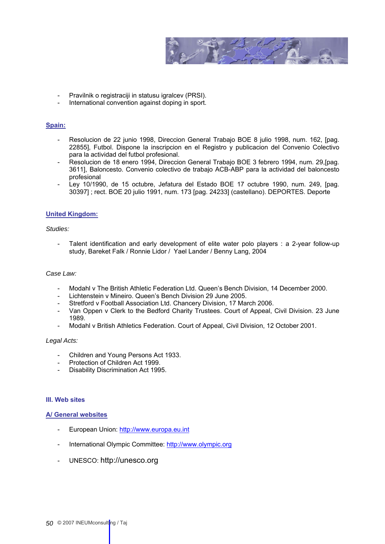

- Pravilnik o registraciji in statusu igralcev (PRSI).
- International convention against doping in sport.

### **Spain:**

- Resolucion de 22 junio 1998, Direccion General Trabajo BOE 8 julio 1998, num. 162, [pag. 22855], Futbol. Dispone la inscripcion en el Registro y publicacion del Convenio Colectivo para la actividad del futbol profesional.
- Resolucion de 18 enero 1994, Direccion General Trabajo BOE 3 febrero 1994, num. 29,[pag. 3611], Baloncesto. Convenio colectivo de trabajo ACB-ABP para la actividad del baloncesto profesional
- Ley 10/1990, de 15 octubre, Jefatura del Estado BOE 17 octubre 1990, num. 249, [pag. 30397] ; rect. BOE 20 julio 1991, num. 173 [pag. 24233] (castellano). DEPORTES. Deporte

### **United Kingdom:**

# *Studies:*

- Talent identification and early development of elite water polo players : a 2-year follow-up study, Bareket Falk / Ronnie Lidor / Yael Lander / Benny Lang, 2004

#### *Case Law:*

- Modahl v The British Athletic Federation Ltd. Queen's Bench Division, 14 December 2000.
- Lichtenstein v Mineiro. Queen's Bench Division 29 June 2005.
- Stretford v Football Association Ltd. Chancery Division, 17 March 2006.
- Van Oppen v Clerk to the Bedford Charity Trustees. Court of Appeal, Civil Division. 23 June 1989.
- Modahl v British Athletics Federation. Court of Appeal, Civil Division, 12 October 2001.

#### *Legal Acts:*

- Children and Young Persons Act 1933.
- Protection of Children Act 1999.
- Disability Discrimination Act 1995.

### **III. Web sites**

#### **A/ General websites**

- European Union: http:[//www.europa.eu.int](http://www.europa.eu.int/)
- International Olympic Committee[: http://www.olympic.org](http://www.olympic.org/)
- UNESCO[: http://unesco.org](http://unesco.org/)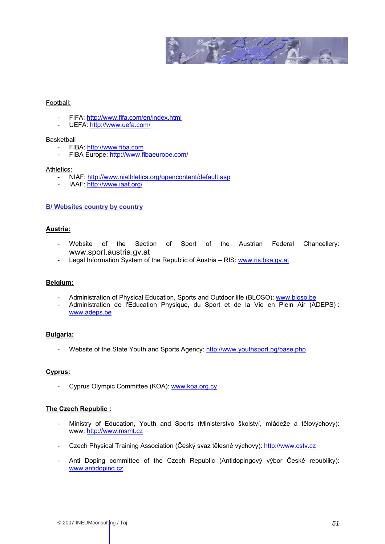

#### Football:

- FIFA[: http://www.fifa.com/en/index.html](http://www.fifa.com/en/index.html)
- UEFA:<http://www.uefa.com/>

#### Basketball

- FIBA: http://www.fiba.com
- FIBA Europe[: http://www.fibaeurope.com/](http://www.fibaeurope.com/)

#### Athletics:

- NIAF[: http://www.niathletics.org/opencontent/default.asp](http://www.niathletics.org/opencontent/default.asp)
- IAAF:<http://www.iaaf.org/>

# **B/ Websites country by country**

# **Austria:**

- Website of the Section of Sport of the Austrian Federal Chancellery: [www.sport.austria.gv.at](http://www.sport.austria.gv.at/)
- Legal Information System of the Republic of Austria RIS[: www.ris.bka.gv.at](http://www.ris.bka.gv.at/)

# **Belgium:**

- Administration of Physical Education, Sports and Outdoor life (BLOSO): [www.bloso.be](http://www.bloso.be/)
- Administration de l'Education Physique, du Sport et de la Vie en Plein Air (ADEPS) : [www.adeps.be](http://www.adeps.be/)

# **Bulgaria:**

- Website of the State Youth and Sports Agency: http://www.youthsport.bg/base.php

# **Cyprus:**

- Cyprus Olympic Committee (KOA): [www.koa.org.cy](http://www.koa.org.cy/)

#### **The Czech Republic :**

- Ministry of Education, Youth and Sports (Ministerstvo školství, mládeže a tělovýchovy): www[: http://www.msmt.cz](http://www.msmt.cz/)
- Czech Physical Training Association (Český svaz tělesné výchovy)[: http://www.cstv.cz](http://www.cstv.cz/)
- Anti Doping committee of the Czech Republic (Antidopingový výbor České republiky): [www.antidoping.cz](http://www.antidoping.cz/)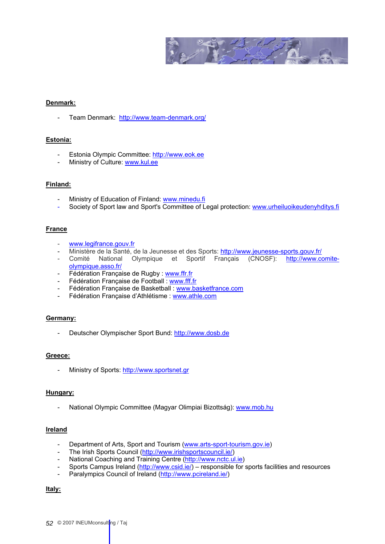

### **Denmark:**

- Team Denmark:<http://www.team-denmark.org/>

### **Estonia:**

- Estonia Olympic Committee[: http://www.eok.ee](http://www.eok.ee/)
- Ministry of Culture: [www.kul.ee](http://www.kul.ee/)

#### **Finland:**

- Ministry of Education of Finland[: www.minedu.fi](#page-0-0)
- Society of Sport law and Sport's Committee of Legal protection[: www.urheiluoikeudenyhditys.fi](#page-0-0)

### **France**

- [www.legifrance.gouv.fr](http://www.legifrance.gouv.fr/)
- Ministère de la Santé, de la Jeunesse et des Sports[: http://www.jeunesse-sports.gouv.fr/](http://www.jeunesse-sports.gouv.fr/)
- Comité National Olympique et Sportif Français (CNOSF): [http://www.comite](http://www.comite-olympique.asso.fr/)[olympique.asso.fr/](http://www.comite-olympique.asso.fr/)
- Fédération Française de Rugby : [www.ffr.fr](http://www.ffr.fr/)
- Fédération Française de Football [: www.fff.fr](http://www.fff.fr/)
- Fédération Française de Basketball : [www.basketfrance.com](http://www.basketfrance.com/)
- Fédération Française d'Athlétisme : [www.athle.com](http://www.athle.com/)

#### **Germany:**

Deutscher Olympischer Sport Bund[: http://www.dosb.de](http://www.dosb.de/)

### **Greece:**

- Ministry of Sports: [http://www.sportsnet.gr](http://www.sportsnet.gr/)

# **Hungary:**

- National Olympic Committee (Magyar Olimpiai Bizottság)[: www.mob.hu](http://www.mob.hu/)

#### **Ireland**

- Department of Arts, Sport and Tourism [\(www.arts-sport-tourism.gov.ie\)](http://www.arts-sport-tourism.gov.ie/)
- The Irish Sports Council [\(http://www.irishsportscouncil.ie/\)](http://www.irishsportscouncil.ie/)
- National Coaching and Training Centre [\(http://www.nctc.ul.ie\)](http://www.nctc.ul.ie/)
- Sports Campus Ireland [\(http://www.csid.ie/\)](http://www.csid.ie/) responsible for sports facilities and resources
- Paralympics Council of Ireland (http://www.pcireland.ie/)

#### **Italy:**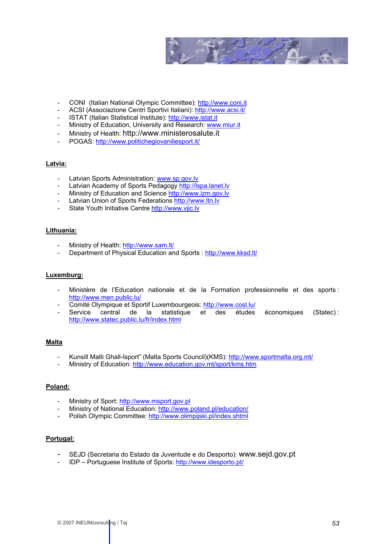

- CONI (Italian National Olympic Committee)[: http://www.coni.it](http://www.coni.it/)
- ACSI (Associazione Centri Sportivi Italiani):<http://www.acsi.it/>
- ISTAT (Italian Statistical Institute): [http://www.istat.it](http://www.istat.it/)
- Ministry of Education, University and Research: [www.miur.it](http://www.miur.it/)
- Ministry of Health: [http://www.ministerosalute.it](http://www.ministerosalute.it/)
- POGAS[: http://www.politichegiovaniliesport.it/](http://www.politichegiovaniliesport.it/)

### **Latvia:**

- Latvian Sports Administration: [www.sp.gov.lv](http://www.sp.gov.lv/)
- Latvian Academy of Sports Pedagogy http://lspa.lanet.lv
- Ministry of Education and Science http://www.izm.gov.lv
- Latvian Union of Sports Federation[s http://www.ltn.lv](http://www.ltn.lv/~latsfp)
- State Youth Initiative Centr[e http://www.vjic.lv](http://www.vjic.lv/)

### **Lithuania:**

- Ministry of Health:<http://www.sam.lt/>
- Department of Physical Education and Sports :<http://www.kksd.lt/>

#### **Luxemburg:**

- Ministère de l'Education nationale et de la Formation professionnelle et des sports : <http://www.men.public.lu/>
- Comité Olympique et Sportif Luxembourgeois:<http://www.cosl.lu/>
- Service central de la statistique et des études économiques (Statec) : <http://www.statec.public.lu/fr/index.html>

#### **Malta**

- Kunsill Malti Ghall-Isport" (Malta Sports Council)(KMS):<http://www.sportmalta.org.mt/>
- Ministry of Education: <http://www.education.gov.mt/sport/kms.htm>

#### **Poland:**

- Ministry of Sport: [http://www.msport.gov.pl](http://www.msport.gov.pl/)
- Ministry of National Education[: http://www.poland.pl/education/](http://www.poland.pl/education/)
- Polish Olympic Committee[: http://www.olimpijski.pl/index.shtml](http://www.olimpijski.pl/index.shtml)

#### **Portugal:**

- SEJD (Secretaria do Estado da Juventude e do Desporto): www.sejd.gov.pt
- IDP Portuguese Institute of Sports[: http://www.idesporto.pt/](http://www.idesporto.pt/)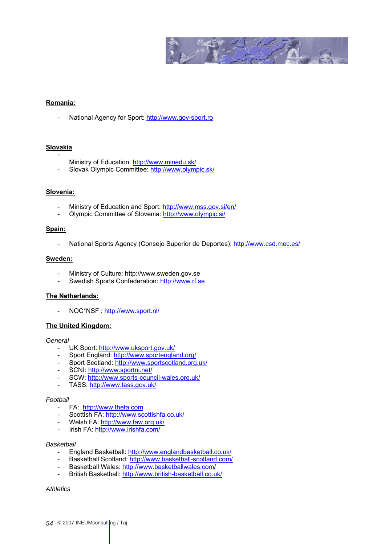

#### **Romania:**

- National Agency for Sport[: http://www.gov-sport.ro](http://www.gov-sport.ro/)

#### **Slovakia**

- Ministry of Education:<http://www.minedu.sk/>
- Slovak Olympic Committee[: http://www.olympic.sk/](http://www.olympic.sk/)

#### **Slovenia:**

- Ministry of Education and Sport:<http://www.mss.gov.si/en/>
- Olympic Committee of Slovenia[: http://www.olympic.si/](http://www.olympic.si/)

# **Spain:**

- National Sports Agency (Consejo Superior de Deportes)[: http://www.csd.mec.es/](http://www.csd.mec.es/)

#### **Sweden:**

- Ministry of Culture[: http://www.sweden.gov.se](http://www.sweden.gov.se/)
- Swedish Sports Confederation: [http://www.rf.se](http://www.rf.se/)

# **The Netherlands:**

- NOC\*NSF :<http://www.sport.nl/>

# **The United Kingdom:**

#### *General*

- UK Sport[: http://www.uksport.gov.uk/](http://www.uksport.gov.uk/)
- Sport England[: http://www.sportengland.org/](http://www.sportengland.org/)
- Sport Scotland[: http://www.sportscotland.org.uk/](http://www.sportscotland.org.uk/)
- SCNI[: http://www.sportni.net/](http://www.sportni.net/)
- SCW[: http://www.sports-council-wales.org.uk/](http://www.sports-council-wales.org.uk/)
- TASS:<http://www.tass.gov.uk/>

### *Football*

- FA: http://www.thefa.com
- Scottish FA:<http://www.scottishfa.co.uk/>
- Welsh FA:<http://www.faw.org.uk/>
- Irish FA[: http://www.irishfa.com/](http://www.irishfa.com/)

#### *Basketball*

- England Basketball[: http://www.englandbasketball.co.uk/](http://www.englandbasketball.co.uk/)
- Basketball Scotland[: http://www.basketball-scotland.com/](http://www.basketball-scotland.com/)
- Basketball Wales:<http://www.basketballwales.com/>
- British Basketball:<http://www.british-basketball.co.uk/>

#### *Athletics*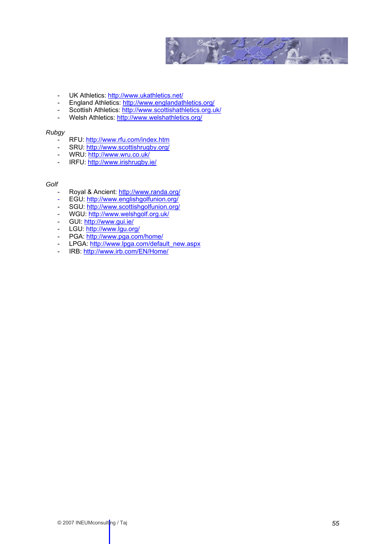

- UK Athletics:<http://www.ukathletics.net/>
- England Athletics[: http://www.englandathletics.org/](http://www.englandathletics.org/)
- Scottish Athletics:<http://www.scottishathletics.org.uk/>
- Welsh Athletics:<http://www.welshathletics.org/>

### *Rubgy*

- RFU[: http://www.rfu.com/index.htm](http://www.rfu.com/index.htm)
- SRU:<http://www.scottishrugby.org/>
- WRU[: http://www.wru.co.uk/](http://www.wru.co.uk/)<br>- IREU: http://www.irishrughy.i
- IRFU[: http://www.irishrugby.ie/](http://www.irishrugby.ie/)

### *Golf*

- Royal & Ancient:<http://www.randa.org/>
- EGU[: http://www.englishgolfunion.org/](http://www.englishgolfunion.org/)
- SGU[: http://www.scottishgolfunion.org/](http://www.scottishgolfunion.org/)
- WGU[: http://www.welshgolf.org.uk/](http://www.welshgolf.org.uk/)
- GUI[: http://www.gui.ie/](http://www.gui.ie/)
- LGU[: http://www.lgu.org/](http://www.lgu.org/)
- PGA:<http://www.pga.com/home/>
- LPGA: [http://www.lpga.com/default\\_new.aspx](http://www.lpga.com/default_new.aspx)
- IRB[: http://www.irb.com/EN/Home/](http://www.irb.com/EN/Home/)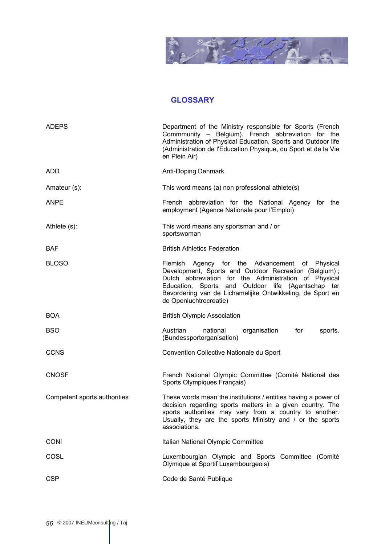

# **GLOSSARY**

<span id="page-55-0"></span>

| <b>ADEPS</b>                 | Department of the Ministry responsible for Sports (French<br>Commmunity - Belgium). French abbreviation for the<br>Administration of Physical Education, Sports and Outdoor life<br>(Administration de l'Education Physique, du Sport et de la Vie<br>en Plein Air)                                           |
|------------------------------|---------------------------------------------------------------------------------------------------------------------------------------------------------------------------------------------------------------------------------------------------------------------------------------------------------------|
| <b>ADD</b>                   | Anti-Doping Denmark                                                                                                                                                                                                                                                                                           |
| Amateur (s):                 | This word means (a) non professional athlete(s)                                                                                                                                                                                                                                                               |
| <b>ANPE</b>                  | French abbreviation for the National Agency for the<br>employment (Agence Nationale pour l'Emploi)                                                                                                                                                                                                            |
| Athlete (s):                 | This word means any sportsman and / or<br>sportswoman                                                                                                                                                                                                                                                         |
| <b>BAF</b>                   | <b>British Athletics Federation</b>                                                                                                                                                                                                                                                                           |
| <b>BLOSO</b>                 | Flemish Agency for the Advancement of Physical<br>Development, Sports and Outdoor Recreation (Belgium);<br>Dutch abbreviation for the Administration of Physical<br>Education, Sports and Outdoor life (Agentschap ter<br>Bevordering van de Lichamelijke Ontwikkeling, de Sport en<br>de Openluchtrecreatie) |
| <b>BOA</b>                   | <b>British Olympic Association</b>                                                                                                                                                                                                                                                                            |
| <b>BSO</b>                   | Austrian<br>national<br>organisation<br>for<br>sports.<br>(Bundessportorganisation)                                                                                                                                                                                                                           |
| <b>CCNS</b>                  | Convention Collective Nationale du Sport                                                                                                                                                                                                                                                                      |
| <b>CNOSF</b>                 | French National Olympic Committee (Comité National des<br>Sports Olympiques Français)                                                                                                                                                                                                                         |
| Competent sports authorities | These words mean the institutions / entities having a power of<br>decision regarding sports matters in a given country. The<br>sports authorities may vary from a country to another.<br>Usually, they are the sports Ministry and / or the sports<br>associations.                                           |
| <b>CONI</b>                  | Italian National Olympic Committee                                                                                                                                                                                                                                                                            |
| COSL                         | Luxembourgian Olympic and Sports Committee (Comité<br>Olymique et Sportif Luxembourgeois)                                                                                                                                                                                                                     |
| <b>CSP</b>                   | Code de Santé Publique                                                                                                                                                                                                                                                                                        |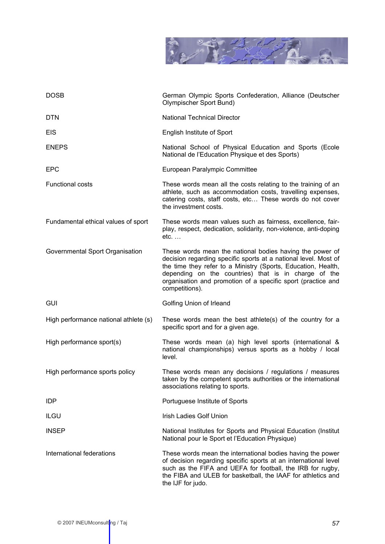

| <b>DOSB</b>                           | German Olympic Sports Confederation, Alliance (Deutscher<br>Olympischer Sport Bund)                                                                                                                                                                                                                                                    |
|---------------------------------------|----------------------------------------------------------------------------------------------------------------------------------------------------------------------------------------------------------------------------------------------------------------------------------------------------------------------------------------|
| <b>DTN</b>                            | <b>National Technical Director</b>                                                                                                                                                                                                                                                                                                     |
| <b>EIS</b>                            | <b>English Institute of Sport</b>                                                                                                                                                                                                                                                                                                      |
| <b>ENEPS</b>                          | National School of Physical Education and Sports (Ecole<br>National de l'Education Physique et des Sports)                                                                                                                                                                                                                             |
| <b>EPC</b>                            | European Paralympic Committee                                                                                                                                                                                                                                                                                                          |
| <b>Functional costs</b>               | These words mean all the costs relating to the training of an<br>athlete, such as accommodation costs, travelling expenses,<br>catering costs, staff costs, etc These words do not cover<br>the investment costs.                                                                                                                      |
| Fundamental ethical values of sport   | These words mean values such as fairness, excellence, fair-<br>play, respect, dedication, solidarity, non-violence, anti-doping<br>$etc. \ldots$                                                                                                                                                                                       |
| Governmental Sport Organisation       | These words mean the national bodies having the power of<br>decision regarding specific sports at a national level. Most of<br>the time they refer to a Ministry (Sports, Education, Health,<br>depending on the countries) that is in charge of the<br>organisation and promotion of a specific sport (practice and<br>competitions). |
| <b>GUI</b>                            | Golfing Union of Irleand                                                                                                                                                                                                                                                                                                               |
| High performance national athlete (s) | These words mean the best athlete(s) of the country for a<br>specific sport and for a given age.                                                                                                                                                                                                                                       |
| High performance sport(s)             | These words mean (a) high level sports (international &<br>national championships) versus sports as a hobby / local<br>level.                                                                                                                                                                                                          |
| High performance sports policy        | These words mean any decisions / regulations / measures<br>taken by the competent sports authorities or the international<br>associations relating to sports.                                                                                                                                                                          |
| <b>IDP</b>                            | Portuguese Institute of Sports                                                                                                                                                                                                                                                                                                         |
| <b>ILGU</b>                           | <b>Irish Ladies Golf Union</b>                                                                                                                                                                                                                                                                                                         |
| <b>INSEP</b>                          | National Institutes for Sports and Physical Education (Institut<br>National pour le Sport et l'Education Physique)                                                                                                                                                                                                                     |
| International federations             | These words mean the international bodies having the power<br>of decision regarding specific sports at an international level<br>such as the FIFA and UEFA for football, the IRB for rugby,<br>the FIBA and ULEB for basketball, the IAAF for athletics and<br>the IJF for judo.                                                       |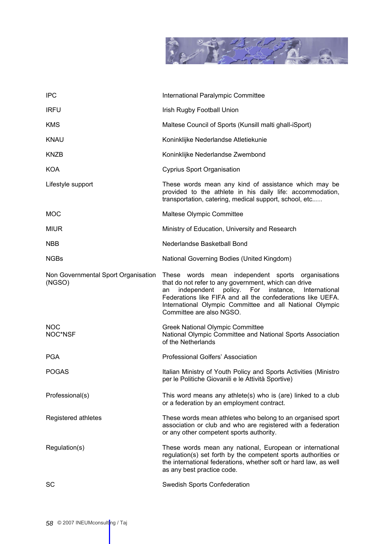

| <b>IPC</b>                                    | International Paralympic Committee                                                                                                                                                                                                                                                                                           |
|-----------------------------------------------|------------------------------------------------------------------------------------------------------------------------------------------------------------------------------------------------------------------------------------------------------------------------------------------------------------------------------|
| <b>IRFU</b>                                   | Irish Rugby Football Union                                                                                                                                                                                                                                                                                                   |
| <b>KMS</b>                                    | Maltese Council of Sports (Kunsill malti ghall-iSport)                                                                                                                                                                                                                                                                       |
| <b>KNAU</b>                                   | Koninklijke Nederlandse Atletiekunie                                                                                                                                                                                                                                                                                         |
| KNZB                                          | Koninklijke Nederlandse Zwembond                                                                                                                                                                                                                                                                                             |
| <b>KOA</b>                                    | <b>Cyprius Sport Organisation</b>                                                                                                                                                                                                                                                                                            |
| Lifestyle support                             | These words mean any kind of assistance which may be<br>provided to the athlete in his daily life: accommodation,<br>transportation, catering, medical support, school, etc                                                                                                                                                  |
| <b>MOC</b>                                    | Maltese Olympic Committee                                                                                                                                                                                                                                                                                                    |
| <b>MIUR</b>                                   | Ministry of Education, University and Research                                                                                                                                                                                                                                                                               |
| <b>NBB</b>                                    | Nederlandse Basketball Bond                                                                                                                                                                                                                                                                                                  |
| <b>NGBs</b>                                   | National Governing Bodies (United Kingdom)                                                                                                                                                                                                                                                                                   |
| Non Governmental Sport Organisation<br>(NGSO) | These words mean independent sports organisations<br>that do not refer to any government, which can drive<br>independent policy. For<br>instance, International<br>an<br>Federations like FIFA and all the confederations like UEFA.<br>International Olympic Committee and all National Olympic<br>Committee are also NGSO. |
| <b>NOC</b><br>NOC*NSF                         | <b>Greek National Olympic Committee</b><br>National Olympic Committee and National Sports Association<br>of the Netherlands                                                                                                                                                                                                  |
| <b>PGA</b>                                    | Professional Golfers' Association                                                                                                                                                                                                                                                                                            |
| <b>POGAS</b>                                  | Italian Ministry of Youth Policy and Sports Activities (Ministro<br>per le Politiche Giovanili e le Attività Sportive)                                                                                                                                                                                                       |
| Professional(s)                               | This word means any athlete(s) who is (are) linked to a club<br>or a federation by an employment contract.                                                                                                                                                                                                                   |
| Registered athletes                           | These words mean athletes who belong to an organised sport<br>association or club and who are registered with a federation<br>or any other competent sports authority.                                                                                                                                                       |
| Regulation(s)                                 | These words mean any national, European or international<br>regulation(s) set forth by the competent sports authorities or<br>the international federations, whether soft or hard law, as well<br>as any best practice code.                                                                                                 |
| SC                                            | Swedish Sports Confederation                                                                                                                                                                                                                                                                                                 |